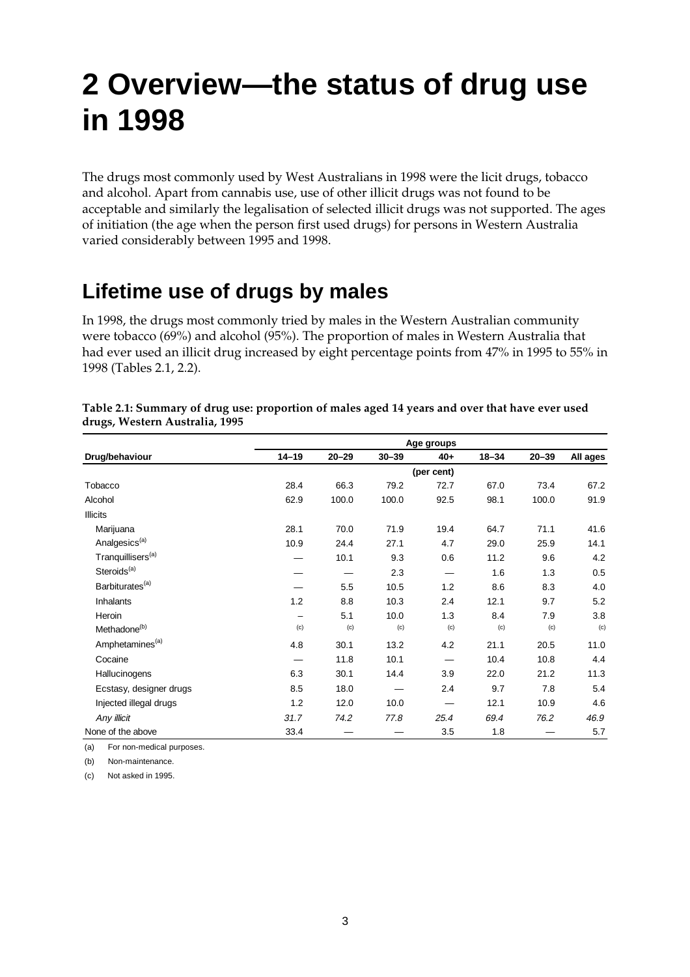# **2 Overview—the status of drug use in 1998**

The drugs most commonly used by West Australians in 1998 were the licit drugs, tobacco and alcohol. Apart from cannabis use, use of other illicit drugs was not found to be acceptable and similarly the legalisation of selected illicit drugs was not supported. The ages of initiation (the age when the person first used drugs) for persons in Western Australia varied considerably between 1995 and 1998.

#### **Lifetime use of drugs by males**

In 1998, the drugs most commonly tried by males in the Western Australian community were tobacco (69%) and alcohol (95%). The proportion of males in Western Australia that had ever used an illicit drug increased by eight percentage points from 47% in 1995 to 55% in 1998 (Tables 2.1, 2.2).

|                               | Age groups |           |           |       |           |           |          |  |  |  |
|-------------------------------|------------|-----------|-----------|-------|-----------|-----------|----------|--|--|--|
| Drug/behaviour                | $14 - 19$  | $20 - 29$ | $30 - 39$ | $40+$ | $18 - 34$ | $20 - 39$ | All ages |  |  |  |
|                               | (per cent) |           |           |       |           |           |          |  |  |  |
| Tobacco                       | 28.4       | 66.3      | 79.2      | 72.7  | 67.0      | 73.4      | 67.2     |  |  |  |
| Alcohol                       | 62.9       | 100.0     | 100.0     | 92.5  | 98.1      | 100.0     | 91.9     |  |  |  |
| <b>Illicits</b>               |            |           |           |       |           |           |          |  |  |  |
| Marijuana                     | 28.1       | 70.0      | 71.9      | 19.4  | 64.7      | 71.1      | 41.6     |  |  |  |
| Analgesics <sup>(a)</sup>     | 10.9       | 24.4      | 27.1      | 4.7   | 29.0      | 25.9      | 14.1     |  |  |  |
| Tranquillisers <sup>(a)</sup> |            | 10.1      | 9.3       | 0.6   | 11.2      | 9.6       | 4.2      |  |  |  |
| Steroids <sup>(a)</sup>       |            |           | 2.3       | —     | 1.6       | 1.3       | 0.5      |  |  |  |
| Barbiturates <sup>(a)</sup>   |            | 5.5       | 10.5      | 1.2   | 8.6       | 8.3       | 4.0      |  |  |  |
| Inhalants                     | 1.2        | 8.8       | 10.3      | 2.4   | 12.1      | 9.7       | 5.2      |  |  |  |
| Heroin                        | -          | 5.1       | 10.0      | 1.3   | 8.4       | 7.9       | 3.8      |  |  |  |
| Methadone <sup>(b)</sup>      | (c)        | (c)       | (c)       | (c)   | (c)       | (c)       | (c)      |  |  |  |
| Amphetamines <sup>(a)</sup>   | 4.8        | 30.1      | 13.2      | 4.2   | 21.1      | 20.5      | 11.0     |  |  |  |
| Cocaine                       |            | 11.8      | 10.1      |       | 10.4      | 10.8      | 4.4      |  |  |  |
| Hallucinogens                 | 6.3        | 30.1      | 14.4      | 3.9   | 22.0      | 21.2      | 11.3     |  |  |  |
| Ecstasy, designer drugs       | 8.5        | 18.0      |           | 2.4   | 9.7       | 7.8       | 5.4      |  |  |  |
| Injected illegal drugs        | 1.2        | 12.0      | 10.0      |       | 12.1      | 10.9      | 4.6      |  |  |  |
| Any illicit                   | 31.7       | 74.2      | 77.8      | 25.4  | 69.4      | 76.2      | 46.9     |  |  |  |
| None of the above             | 33.4       |           |           | 3.5   | 1.8       |           | 5.7      |  |  |  |

**Table 2.1: Summary of drug use: proportion of males aged 14 years and over that have ever used drugs, Western Australia, 1995**

(a) For non-medical purposes.

(b) Non-maintenance.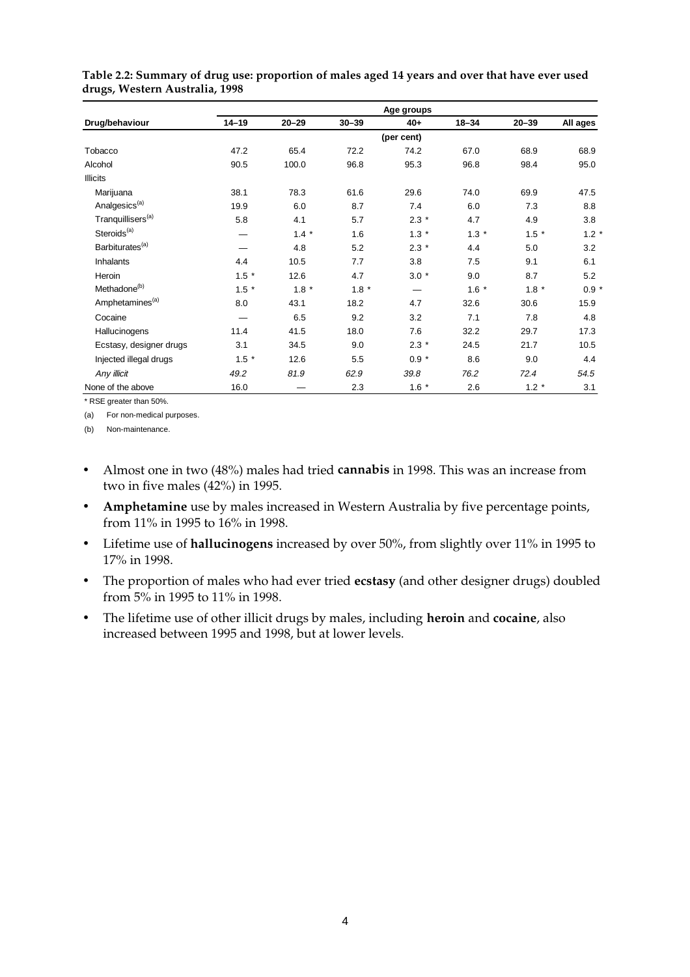|                               | Age groups |           |           |         |           |           |          |  |  |  |  |
|-------------------------------|------------|-----------|-----------|---------|-----------|-----------|----------|--|--|--|--|
| Drug/behaviour                | $14 - 19$  | $20 - 29$ | $30 - 39$ | $40+$   | $18 - 34$ | $20 - 39$ | All ages |  |  |  |  |
|                               | (per cent) |           |           |         |           |           |          |  |  |  |  |
| Tobacco                       | 47.2       | 65.4      | 72.2      | 74.2    | 67.0      | 68.9      | 68.9     |  |  |  |  |
| Alcohol                       | 90.5       | 100.0     | 96.8      | 95.3    | 96.8      | 98.4      | 95.0     |  |  |  |  |
| <b>Illicits</b>               |            |           |           |         |           |           |          |  |  |  |  |
| Marijuana                     | 38.1       | 78.3      | 61.6      | 29.6    | 74.0      | 69.9      | 47.5     |  |  |  |  |
| Analgesics <sup>(a)</sup>     | 19.9       | 6.0       | 8.7       | 7.4     | 6.0       | 7.3       | 8.8      |  |  |  |  |
| Tranquillisers <sup>(a)</sup> | 5.8        | 4.1       | 5.7       | $2.3*$  | 4.7       | 4.9       | 3.8      |  |  |  |  |
| Steroids <sup>(a)</sup>       |            | $1.4 *$   | 1.6       | $1.3 *$ | $1.3*$    | $1.5 *$   | $1.2*$   |  |  |  |  |
| Barbiturates <sup>(a)</sup>   |            | 4.8       | 5.2       | $2.3*$  | 4.4       | 5.0       | 3.2      |  |  |  |  |
| Inhalants                     | 4.4        | 10.5      | 7.7       | 3.8     | 7.5       | 9.1       | 6.1      |  |  |  |  |
| Heroin                        | $1.5 *$    | 12.6      | 4.7       | $3.0*$  | 9.0       | 8.7       | 5.2      |  |  |  |  |
| Methadone <sup>(b)</sup>      | $1.5 *$    | $1.8 *$   | $1.8 *$   |         | $1.6*$    | $1.8 *$   | $0.9 *$  |  |  |  |  |
| Amphetamines <sup>(a)</sup>   | 8.0        | 43.1      | 18.2      | 4.7     | 32.6      | 30.6      | 15.9     |  |  |  |  |
| Cocaine                       |            | 6.5       | 9.2       | 3.2     | 7.1       | 7.8       | 4.8      |  |  |  |  |
| Hallucinogens                 | 11.4       | 41.5      | 18.0      | 7.6     | 32.2      | 29.7      | 17.3     |  |  |  |  |
| Ecstasy, designer drugs       | 3.1        | 34.5      | 9.0       | $2.3*$  | 24.5      | 21.7      | 10.5     |  |  |  |  |
| Injected illegal drugs        | $1.5*$     | 12.6      | 5.5       | $0.9 *$ | 8.6       | 9.0       | 4.4      |  |  |  |  |
| Any illicit                   | 49.2       | 81.9      | 62.9      | 39.8    | 76.2      | 72.4      | 54.5     |  |  |  |  |
| None of the above             | 16.0       |           | 2.3       | $1.6*$  | 2.6       | $1.2 *$   | 3.1      |  |  |  |  |

**Table 2.2: Summary of drug use: proportion of males aged 14 years and over that have ever used drugs, Western Australia, 1998**

(a) For non-medical purposes.

- Almost one in two (48%) males had tried **cannabis** in 1998. This was an increase from two in five males (42%) in 1995.
- **Amphetamine** use by males increased in Western Australia by five percentage points, from 11% in 1995 to 16% in 1998.
- Lifetime use of **hallucinogens** increased by over 50%, from slightly over 11% in 1995 to 17% in 1998.
- The proportion of males who had ever tried **ecstasy** (and other designer drugs) doubled from 5% in 1995 to 11% in 1998.
- The lifetime use of other illicit drugs by males, including **heroin** and **cocaine**, also increased between 1995 and 1998, but at lower levels.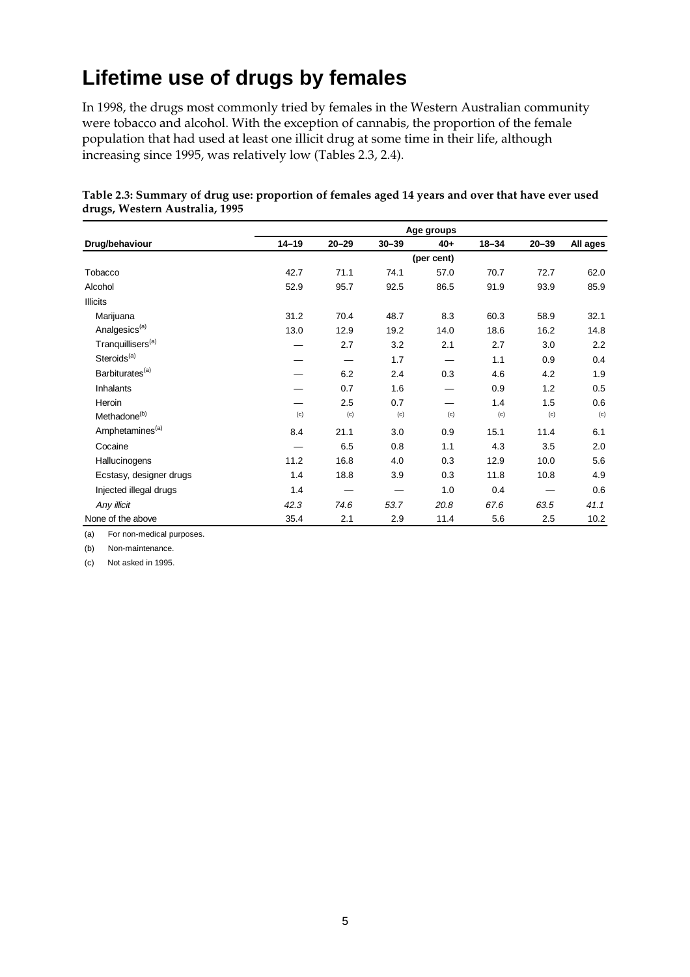#### **Lifetime use of drugs by females**

In 1998, the drugs most commonly tried by females in the Western Australian community were tobacco and alcohol. With the exception of cannabis, the proportion of the female population that had used at least one illicit drug at some time in their life, although increasing since 1995, was relatively low (Tables 2.3, 2.4).

|                               | Age groups |           |           |      |           |           |          |  |  |  |
|-------------------------------|------------|-----------|-----------|------|-----------|-----------|----------|--|--|--|
| Drug/behaviour                | $14 - 19$  | $20 - 29$ | $30 - 39$ | 40+  | $18 - 34$ | $20 - 39$ | All ages |  |  |  |
|                               | (per cent) |           |           |      |           |           |          |  |  |  |
| Tobacco                       | 42.7       | 71.1      | 74.1      | 57.0 | 70.7      | 72.7      | 62.0     |  |  |  |
| Alcohol                       | 52.9       | 95.7      | 92.5      | 86.5 | 91.9      | 93.9      | 85.9     |  |  |  |
| <b>Illicits</b>               |            |           |           |      |           |           |          |  |  |  |
| Marijuana                     | 31.2       | 70.4      | 48.7      | 8.3  | 60.3      | 58.9      | 32.1     |  |  |  |
| Analgesics <sup>(a)</sup>     | 13.0       | 12.9      | 19.2      | 14.0 | 18.6      | 16.2      | 14.8     |  |  |  |
| Tranquillisers <sup>(a)</sup> |            | 2.7       | 3.2       | 2.1  | 2.7       | 3.0       | 2.2      |  |  |  |
| Steroids <sup>(a)</sup>       |            |           | 1.7       |      | 1.1       | 0.9       | 0.4      |  |  |  |
| Barbiturates <sup>(a)</sup>   |            | 6.2       | 2.4       | 0.3  | 4.6       | 4.2       | 1.9      |  |  |  |
| Inhalants                     |            | 0.7       | 1.6       |      | 0.9       | 1.2       | 0.5      |  |  |  |
| Heroin                        |            | 2.5       | 0.7       |      | 1.4       | 1.5       | 0.6      |  |  |  |
| Methadone <sup>(b)</sup>      | (c)        | (c)       | (c)       | (c)  | (c)       | (c)       | (c)      |  |  |  |
| Amphetamines <sup>(a)</sup>   | 8.4        | 21.1      | 3.0       | 0.9  | 15.1      | 11.4      | 6.1      |  |  |  |
| Cocaine                       |            | 6.5       | 0.8       | 1.1  | 4.3       | 3.5       | 2.0      |  |  |  |
| Hallucinogens                 | 11.2       | 16.8      | 4.0       | 0.3  | 12.9      | 10.0      | 5.6      |  |  |  |
| Ecstasy, designer drugs       | 1.4        | 18.8      | 3.9       | 0.3  | 11.8      | 10.8      | 4.9      |  |  |  |
| Injected illegal drugs        | 1.4        |           |           | 1.0  | 0.4       |           | 0.6      |  |  |  |
| Any illicit                   | 42.3       | 74.6      | 53.7      | 20.8 | 67.6      | 63.5      | 41.1     |  |  |  |
| None of the above             | 35.4       | 2.1       | 2.9       | 11.4 | 5.6       | 2.5       | 10.2     |  |  |  |

#### **Table 2.3: Summary of drug use: proportion of females aged 14 years and over that have ever used drugs, Western Australia, 1995**

(a) For non-medical purposes.

(b) Non-maintenance.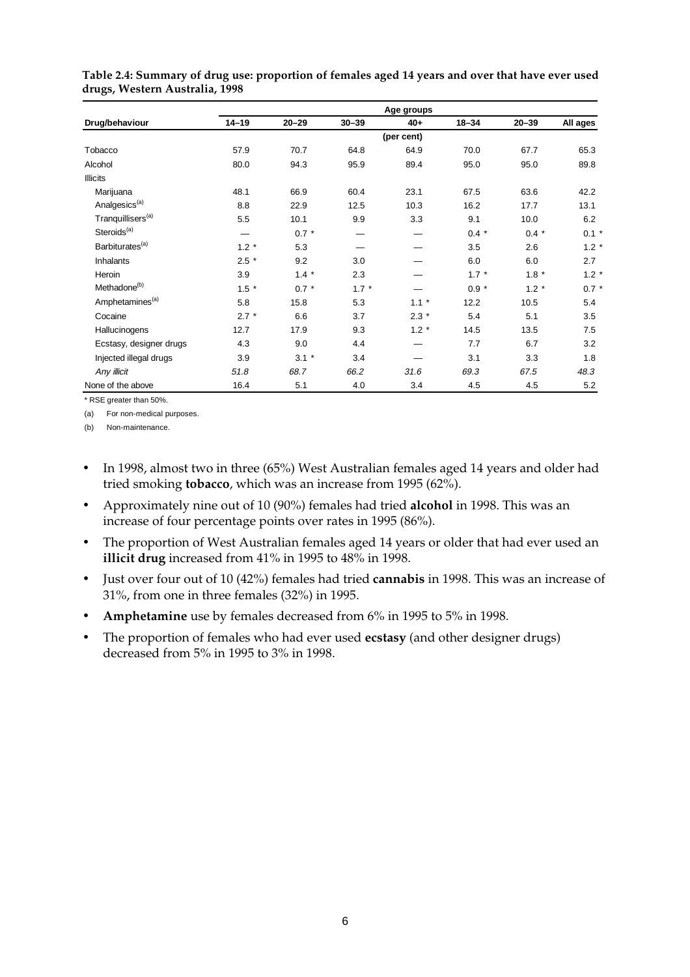|                               | Age groups |           |           |         |           |           |          |  |  |  |  |
|-------------------------------|------------|-----------|-----------|---------|-----------|-----------|----------|--|--|--|--|
| Drug/behaviour                | $14 - 19$  | $20 - 29$ | $30 - 39$ | $40+$   | $18 - 34$ | $20 - 39$ | All ages |  |  |  |  |
|                               | (per cent) |           |           |         |           |           |          |  |  |  |  |
| Tobacco                       | 57.9       | 70.7      | 64.8      | 64.9    | 70.0      | 67.7      | 65.3     |  |  |  |  |
| Alcohol                       | 80.0       | 94.3      | 95.9      | 89.4    | 95.0      | 95.0      | 89.8     |  |  |  |  |
| <b>Illicits</b>               |            |           |           |         |           |           |          |  |  |  |  |
| Marijuana                     | 48.1       | 66.9      | 60.4      | 23.1    | 67.5      | 63.6      | 42.2     |  |  |  |  |
| Analgesics <sup>(a)</sup>     | 8.8        | 22.9      | 12.5      | 10.3    | 16.2      | 17.7      | 13.1     |  |  |  |  |
| Tranquillisers <sup>(a)</sup> | 5.5        | 10.1      | 9.9       | 3.3     | 9.1       | 10.0      | 6.2      |  |  |  |  |
| Steroids <sup>(a)</sup>       |            | $0.7 *$   |           |         | $0.4 *$   | $0.4 *$   | $0.1 *$  |  |  |  |  |
| Barbiturates <sup>(a)</sup>   | $1.2 *$    | 5.3       |           |         | 3.5       | 2.6       | $1.2*$   |  |  |  |  |
| <b>Inhalants</b>              | $2.5*$     | 9.2       | 3.0       |         | 6.0       | 6.0       | 2.7      |  |  |  |  |
| Heroin                        | 3.9        | $1.4 *$   | 2.3       |         | $1.7 *$   | $1.8 *$   | $1.2*$   |  |  |  |  |
| Methadone <sup>(b)</sup>      | $1.5 *$    | $0.7 *$   | $1.7 *$   |         | $0.9 *$   | $1.2 *$   | $0.7 *$  |  |  |  |  |
| Amphetamines <sup>(a)</sup>   | 5.8        | 15.8      | 5.3       | $1.1*$  | 12.2      | 10.5      | 5.4      |  |  |  |  |
| Cocaine                       | $2.7 *$    | 6.6       | 3.7       | $2.3*$  | 5.4       | 5.1       | 3.5      |  |  |  |  |
| Hallucinogens                 | 12.7       | 17.9      | 9.3       | $1.2 *$ | 14.5      | 13.5      | 7.5      |  |  |  |  |
| Ecstasy, designer drugs       | 4.3        | 9.0       | 4.4       |         | 7.7       | 6.7       | 3.2      |  |  |  |  |
| Injected illegal drugs        | 3.9        | $3.1 *$   | 3.4       |         | 3.1       | 3.3       | 1.8      |  |  |  |  |
| Any illicit                   | 51.8       | 68.7      | 66.2      | 31.6    | 69.3      | 67.5      | 48.3     |  |  |  |  |
| None of the above             | 16.4       | 5.1       | 4.0       | 3.4     | 4.5       | 4.5       | 5.2      |  |  |  |  |

**Table 2.4: Summary of drug use: proportion of females aged 14 years and over that have ever used drugs, Western Australia, 1998**

(a) For non-medical purposes.

- In 1998, almost two in three (65%) West Australian females aged 14 years and older had tried smoking **tobacco**, which was an increase from 1995 (62%).
- Approximately nine out of 10 (90%) females had tried **alcohol** in 1998. This was an increase of four percentage points over rates in 1995 (86%).
- The proportion of West Australian females aged 14 years or older that had ever used an **illicit drug** increased from 41% in 1995 to 48% in 1998.
- Just over four out of 10 (42%) females had tried **cannabis** in 1998. This was an increase of 31%, from one in three females (32%) in 1995.
- **Amphetamine** use by females decreased from 6% in 1995 to 5% in 1998.
- The proportion of females who had ever used **ecstasy** (and other designer drugs) decreased from 5% in 1995 to 3% in 1998.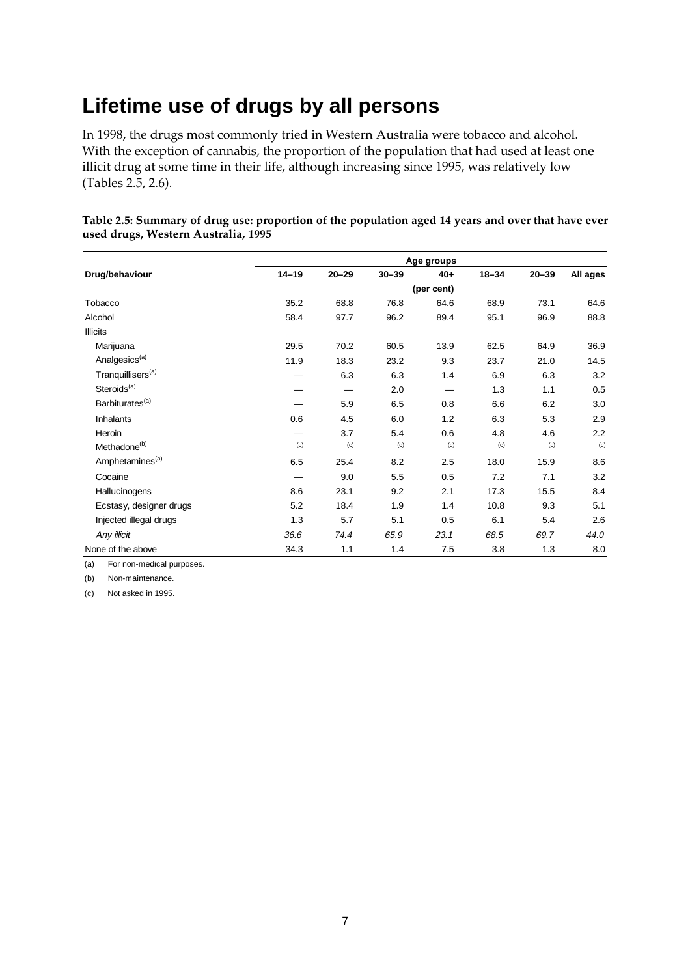### **Lifetime use of drugs by all persons**

In 1998, the drugs most commonly tried in Western Australia were tobacco and alcohol. With the exception of cannabis, the proportion of the population that had used at least one illicit drug at some time in their life, although increasing since 1995, was relatively low (Tables 2.5, 2.6).

| Table 2.5: Summary of drug use: proportion of the population aged 14 years and over that have ever |  |
|----------------------------------------------------------------------------------------------------|--|
| used drugs, Western Australia, 1995                                                                |  |

|                               | Age groups |           |           |       |           |           |          |  |  |  |
|-------------------------------|------------|-----------|-----------|-------|-----------|-----------|----------|--|--|--|
| Drug/behaviour                | $14 - 19$  | $20 - 29$ | $30 - 39$ | $40+$ | $18 - 34$ | $20 - 39$ | All ages |  |  |  |
|                               | (per cent) |           |           |       |           |           |          |  |  |  |
| Tobacco                       | 35.2       | 68.8      | 76.8      | 64.6  | 68.9      | 73.1      | 64.6     |  |  |  |
| Alcohol                       | 58.4       | 97.7      | 96.2      | 89.4  | 95.1      | 96.9      | 88.8     |  |  |  |
| <b>Illicits</b>               |            |           |           |       |           |           |          |  |  |  |
| Marijuana                     | 29.5       | 70.2      | 60.5      | 13.9  | 62.5      | 64.9      | 36.9     |  |  |  |
| Analgesics <sup>(a)</sup>     | 11.9       | 18.3      | 23.2      | 9.3   | 23.7      | 21.0      | 14.5     |  |  |  |
| Tranquillisers <sup>(a)</sup> |            | 6.3       | 6.3       | 1.4   | 6.9       | 6.3       | 3.2      |  |  |  |
| Steroids <sup>(a)</sup>       |            |           | 2.0       |       | 1.3       | 1.1       | 0.5      |  |  |  |
| Barbiturates <sup>(a)</sup>   |            | 5.9       | 6.5       | 0.8   | 6.6       | 6.2       | 3.0      |  |  |  |
| Inhalants                     | 0.6        | 4.5       | 6.0       | 1.2   | 6.3       | 5.3       | 2.9      |  |  |  |
| Heroin                        |            | 3.7       | 5.4       | 0.6   | 4.8       | 4.6       | 2.2      |  |  |  |
| Methadone <sup>(b)</sup>      | (c)        | (c)       | (c)       | (c)   | (c)       | (c)       | (c)      |  |  |  |
| Amphetamines <sup>(a)</sup>   | 6.5        | 25.4      | 8.2       | 2.5   | 18.0      | 15.9      | 8.6      |  |  |  |
| Cocaine                       |            | 9.0       | 5.5       | 0.5   | 7.2       | 7.1       | 3.2      |  |  |  |
| Hallucinogens                 | 8.6        | 23.1      | 9.2       | 2.1   | 17.3      | 15.5      | 8.4      |  |  |  |
| Ecstasy, designer drugs       | 5.2        | 18.4      | 1.9       | 1.4   | 10.8      | 9.3       | 5.1      |  |  |  |
| Injected illegal drugs        | 1.3        | 5.7       | 5.1       | 0.5   | 6.1       | 5.4       | 2.6      |  |  |  |
| Any illicit                   | 36.6       | 74.4      | 65.9      | 23.1  | 68.5      | 69.7      | 44.0     |  |  |  |
| None of the above             | 34.3       | 1.1       | 1.4       | 7.5   | 3.8       | 1.3       | 8.0      |  |  |  |

(a) For non-medical purposes.

(b) Non-maintenance.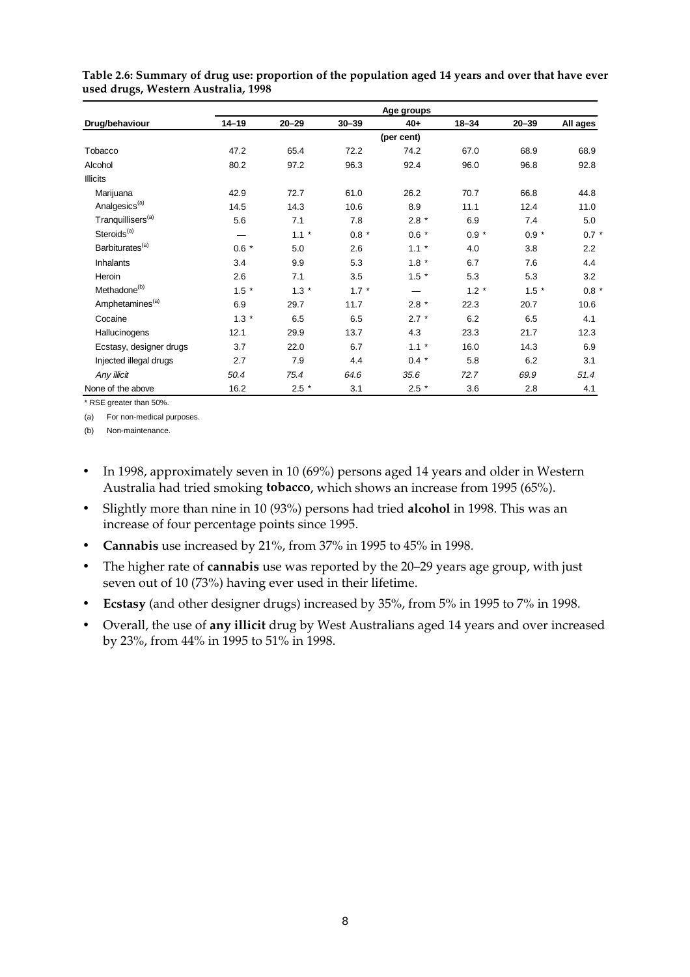|                               | Age groups |           |           |         |           |           |                  |  |  |  |  |  |
|-------------------------------|------------|-----------|-----------|---------|-----------|-----------|------------------|--|--|--|--|--|
| Drug/behaviour                | $14 - 19$  | $20 - 29$ | $30 - 39$ | $40+$   | $18 - 34$ | $20 - 39$ | All ages         |  |  |  |  |  |
|                               | (per cent) |           |           |         |           |           |                  |  |  |  |  |  |
| Tobacco                       | 47.2       | 65.4      | 72.2      | 74.2    | 67.0      | 68.9      | 68.9             |  |  |  |  |  |
| Alcohol                       | 80.2       | 97.2      | 96.3      | 92.4    | 96.0      | 96.8      | 92.8             |  |  |  |  |  |
| <b>Illicits</b>               |            |           |           |         |           |           |                  |  |  |  |  |  |
| Marijuana                     | 42.9       | 72.7      | 61.0      | 26.2    | 70.7      | 66.8      | 44.8             |  |  |  |  |  |
| Analgesics <sup>(a)</sup>     | 14.5       | 14.3      | 10.6      | 8.9     | 11.1      | 12.4      | 11.0             |  |  |  |  |  |
| Tranquillisers <sup>(a)</sup> | 5.6        | 7.1       | 7.8       | $2.8*$  | 6.9       | 7.4       | 5.0              |  |  |  |  |  |
| Steroids <sup>(a)</sup>       |            | $1.1 *$   | $0.8 *$   | $0.6 *$ | $0.9 *$   | $0.9 *$   | $0.7 *$          |  |  |  |  |  |
| Barbiturates <sup>(a)</sup>   | $0.6 *$    | 5.0       | 2.6       | $1.1 *$ | 4.0       | 3.8       | $2.2\phantom{0}$ |  |  |  |  |  |
| <b>Inhalants</b>              | 3.4        | 9.9       | 5.3       | $1.8 *$ | 6.7       | 7.6       | 4.4              |  |  |  |  |  |
| Heroin                        | 2.6        | 7.1       | 3.5       | $1.5*$  | 5.3       | 5.3       | 3.2              |  |  |  |  |  |
| Methadone <sup>(b)</sup>      | $1.5 *$    | $1.3*$    | $1.7 *$   |         | $1.2 *$   | $1.5*$    | $0.8 *$          |  |  |  |  |  |
| Amphetamines <sup>(a)</sup>   | 6.9        | 29.7      | 11.7      | $2.8*$  | 22.3      | 20.7      | 10.6             |  |  |  |  |  |
| Cocaine                       | $1.3*$     | 6.5       | 6.5       | $2.7 *$ | 6.2       | 6.5       | 4.1              |  |  |  |  |  |
| Hallucinogens                 | 12.1       | 29.9      | 13.7      | 4.3     | 23.3      | 21.7      | 12.3             |  |  |  |  |  |
| Ecstasy, designer drugs       | 3.7        | 22.0      | 6.7       | $1.1 *$ | 16.0      | 14.3      | 6.9              |  |  |  |  |  |
| Injected illegal drugs        | 2.7        | 7.9       | 4.4       | $0.4 *$ | 5.8       | 6.2       | 3.1              |  |  |  |  |  |
| Any illicit                   | 50.4       | 75.4      | 64.6      | 35.6    | 72.7      | 69.9      | 51.4             |  |  |  |  |  |
| None of the above             | 16.2       | $2.5*$    | 3.1       | $2.5*$  | 3.6       | 2.8       | 4.1              |  |  |  |  |  |

**Table 2.6: Summary of drug use: proportion of the population aged 14 years and over that have ever used drugs, Western Australia, 1998**

(a) For non-medical purposes.

- In 1998, approximately seven in 10 (69%) persons aged 14 years and older in Western Australia had tried smoking **tobacco**, which shows an increase from 1995 (65%).
- Slightly more than nine in 10 (93%) persons had tried **alcohol** in 1998. This was an increase of four percentage points since 1995.
- **Cannabis** use increased by 21%, from 37% in 1995 to 45% in 1998.
- The higher rate of **cannabis** use was reported by the 20–29 years age group, with just seven out of 10 (73%) having ever used in their lifetime.
- **Ecstasy** (and other designer drugs) increased by 35%, from 5% in 1995 to 7% in 1998.
- Overall, the use of **any illicit** drug by West Australians aged 14 years and over increased by 23%, from 44% in 1995 to 51% in 1998.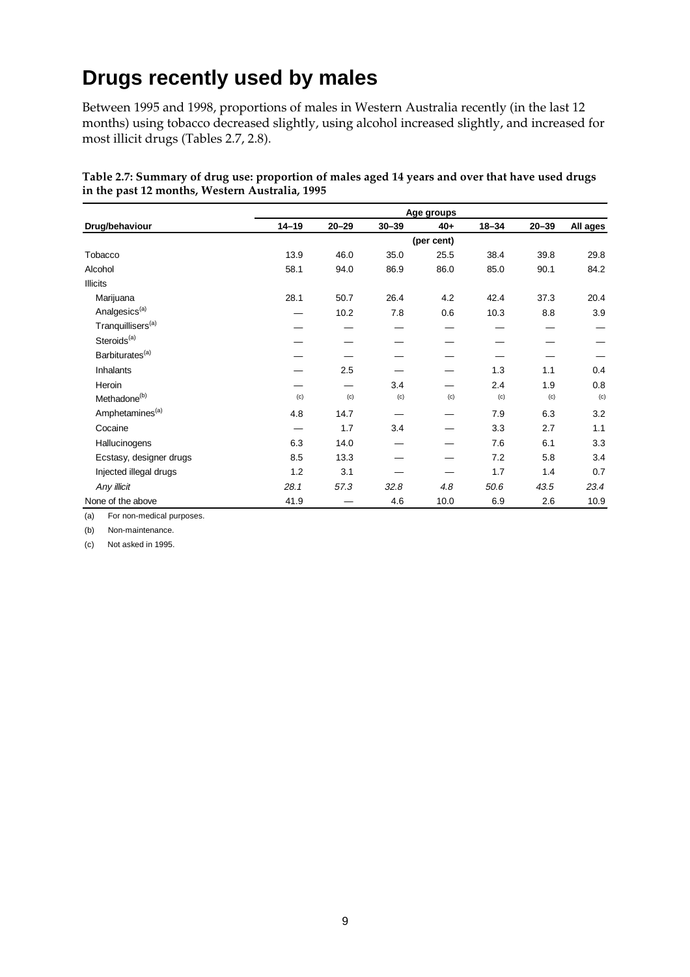### **Drugs recently used by males**

Between 1995 and 1998, proportions of males in Western Australia recently (in the last 12 months) using tobacco decreased slightly, using alcohol increased slightly, and increased for most illicit drugs (Tables 2.7, 2.8).

| Table 2.7: Summary of drug use: proportion of males aged 14 years and over that have used drugs |  |
|-------------------------------------------------------------------------------------------------|--|
| in the past 12 months, Western Australia, 1995                                                  |  |

|                               | Age groups |           |           |       |           |           |          |  |  |  |
|-------------------------------|------------|-----------|-----------|-------|-----------|-----------|----------|--|--|--|
| Drug/behaviour                | $14 - 19$  | $20 - 29$ | $30 - 39$ | $40+$ | $18 - 34$ | $20 - 39$ | All ages |  |  |  |
|                               | (per cent) |           |           |       |           |           |          |  |  |  |
| Tobacco                       | 13.9       | 46.0      | 35.0      | 25.5  | 38.4      | 39.8      | 29.8     |  |  |  |
| Alcohol                       | 58.1       | 94.0      | 86.9      | 86.0  | 85.0      | 90.1      | 84.2     |  |  |  |
| <b>Illicits</b>               |            |           |           |       |           |           |          |  |  |  |
| Marijuana                     | 28.1       | 50.7      | 26.4      | 4.2   | 42.4      | 37.3      | 20.4     |  |  |  |
| Analgesics <sup>(a)</sup>     |            | 10.2      | 7.8       | 0.6   | 10.3      | 8.8       | 3.9      |  |  |  |
| Tranquillisers <sup>(a)</sup> |            |           |           |       |           |           |          |  |  |  |
| $Steroids^{(a)}$              |            |           |           |       |           |           |          |  |  |  |
| Barbiturates <sup>(a)</sup>   |            |           |           |       |           |           |          |  |  |  |
| <b>Inhalants</b>              |            | 2.5       |           |       | 1.3       | 1.1       | 0.4      |  |  |  |
| Heroin                        |            |           | 3.4       |       | 2.4       | 1.9       | 0.8      |  |  |  |
| Methadone <sup>(b)</sup>      | (c)        | (c)       | (c)       | (c)   | (c)       | (c)       | (c)      |  |  |  |
| Amphetamines <sup>(a)</sup>   | 4.8        | 14.7      |           |       | 7.9       | 6.3       | 3.2      |  |  |  |
| Cocaine                       |            | 1.7       | 3.4       |       | 3.3       | 2.7       | 1.1      |  |  |  |
| Hallucinogens                 | 6.3        | 14.0      |           |       | 7.6       | 6.1       | 3.3      |  |  |  |
| Ecstasy, designer drugs       | 8.5        | 13.3      |           |       | 7.2       | 5.8       | 3.4      |  |  |  |
| Injected illegal drugs        | 1.2        | 3.1       |           |       | 1.7       | 1.4       | 0.7      |  |  |  |
| Any illicit                   | 28.1       | 57.3      | 32.8      | 4.8   | 50.6      | 43.5      | 23.4     |  |  |  |
| None of the above             | 41.9       |           | 4.6       | 10.0  | 6.9       | 2.6       | 10.9     |  |  |  |

(a) For non-medical purposes.

(b) Non-maintenance.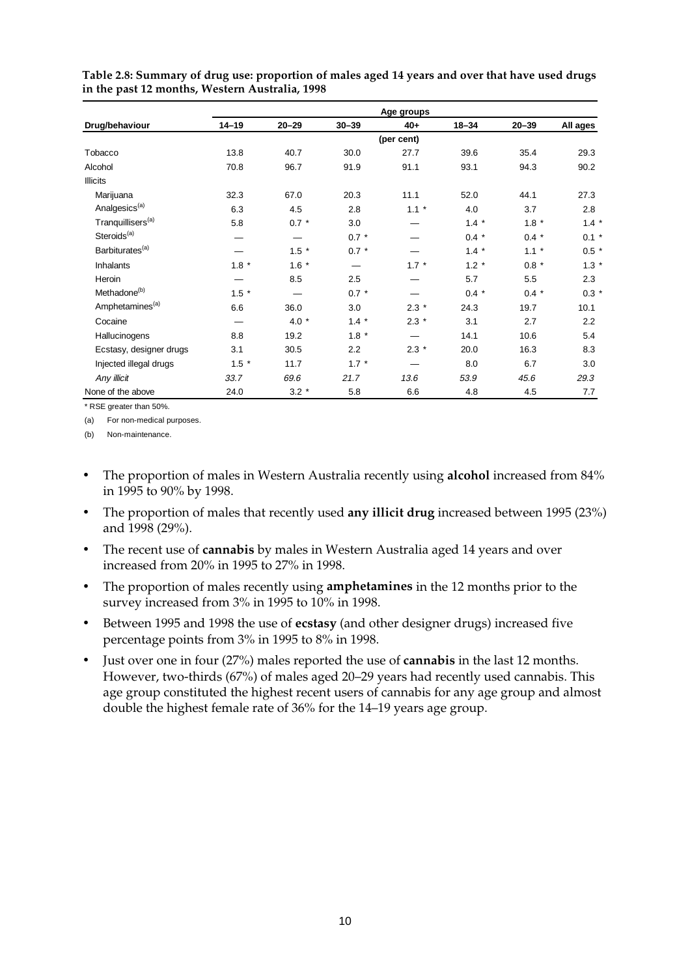|                               | Age groups |           |           |         |           |           |          |  |  |  |  |  |
|-------------------------------|------------|-----------|-----------|---------|-----------|-----------|----------|--|--|--|--|--|
| Drug/behaviour                | $14 - 19$  | $20 - 29$ | $30 - 39$ | $40+$   | $18 - 34$ | $20 - 39$ | All ages |  |  |  |  |  |
|                               | (per cent) |           |           |         |           |           |          |  |  |  |  |  |
| Tobacco                       | 13.8       | 40.7      | 30.0      | 27.7    | 39.6      | 35.4      | 29.3     |  |  |  |  |  |
| Alcohol                       | 70.8       | 96.7      | 91.9      | 91.1    | 93.1      | 94.3      | 90.2     |  |  |  |  |  |
| <b>Illicits</b>               |            |           |           |         |           |           |          |  |  |  |  |  |
| Marijuana                     | 32.3       | 67.0      | 20.3      | 11.1    | 52.0      | 44.1      | 27.3     |  |  |  |  |  |
| Analgesics <sup>(a)</sup>     | 6.3        | 4.5       | 2.8       | $1.1 *$ | 4.0       | 3.7       | 2.8      |  |  |  |  |  |
| Tranquillisers <sup>(a)</sup> | 5.8        | $0.7 *$   | 3.0       |         | $1.4 *$   | $1.8 *$   | $1.4 *$  |  |  |  |  |  |
| Steroids <sup>(a)</sup>       |            |           | $0.7 *$   |         | $0.4 *$   | $0.4 *$   | $0.1 *$  |  |  |  |  |  |
| Barbiturates <sup>(a)</sup>   |            | $1.5 *$   | $0.7 *$   |         | $1.4 *$   | $1.1 *$   | $0.5 *$  |  |  |  |  |  |
| Inhalants                     | $1.8 *$    | $1.6*$    |           | $1.7 *$ | $1.2 *$   | $0.8 *$   | $1.3 *$  |  |  |  |  |  |
| Heroin                        |            | 8.5       | 2.5       |         | 5.7       | 5.5       | 2.3      |  |  |  |  |  |
| Methadone <sup>(b)</sup>      | $1.5 *$    |           | $0.7 *$   |         | $0.4 *$   | $0.4 *$   | $0.3 *$  |  |  |  |  |  |
| Amphetamines <sup>(a)</sup>   | 6.6        | 36.0      | 3.0       | $2.3*$  | 24.3      | 19.7      | 10.1     |  |  |  |  |  |
| Cocaine                       |            | $4.0*$    | $1.4 *$   | $2.3*$  | 3.1       | 2.7       | 2.2      |  |  |  |  |  |
| Hallucinogens                 | 8.8        | 19.2      | $1.8 *$   |         | 14.1      | 10.6      | 5.4      |  |  |  |  |  |
| Ecstasy, designer drugs       | 3.1        | 30.5      | 2.2       | $2.3*$  | 20.0      | 16.3      | 8.3      |  |  |  |  |  |
| Injected illegal drugs        | $1.5$ *    | 11.7      | $1.7 *$   |         | 8.0       | 6.7       | 3.0      |  |  |  |  |  |
| Any illicit                   | 33.7       | 69.6      | 21.7      | 13.6    | 53.9      | 45.6      | 29.3     |  |  |  |  |  |
| None of the above             | 24.0       | $3.2*$    | 5.8       | 6.6     | 4.8       | 4.5       | 7.7      |  |  |  |  |  |

**Table 2.8: Summary of drug use: proportion of males aged 14 years and over that have used drugs in the past 12 months, Western Australia, 1998**

(a) For non-medical purposes.

- The proportion of males in Western Australia recently using **alcohol** increased from 84% in 1995 to 90% by 1998.
- The proportion of males that recently used **any illicit drug** increased between 1995 (23%) and 1998 (29%).
- The recent use of **cannabis** by males in Western Australia aged 14 years and over increased from 20% in 1995 to 27% in 1998.
- The proportion of males recently using **amphetamines** in the 12 months prior to the survey increased from 3% in 1995 to 10% in 1998.
- Between 1995 and 1998 the use of **ecstasy** (and other designer drugs) increased five percentage points from 3% in 1995 to 8% in 1998.
- Just over one in four (27%) males reported the use of **cannabis** in the last 12 months. However, two-thirds (67%) of males aged 20–29 years had recently used cannabis. This age group constituted the highest recent users of cannabis for any age group and almost double the highest female rate of 36% for the 14–19 years age group.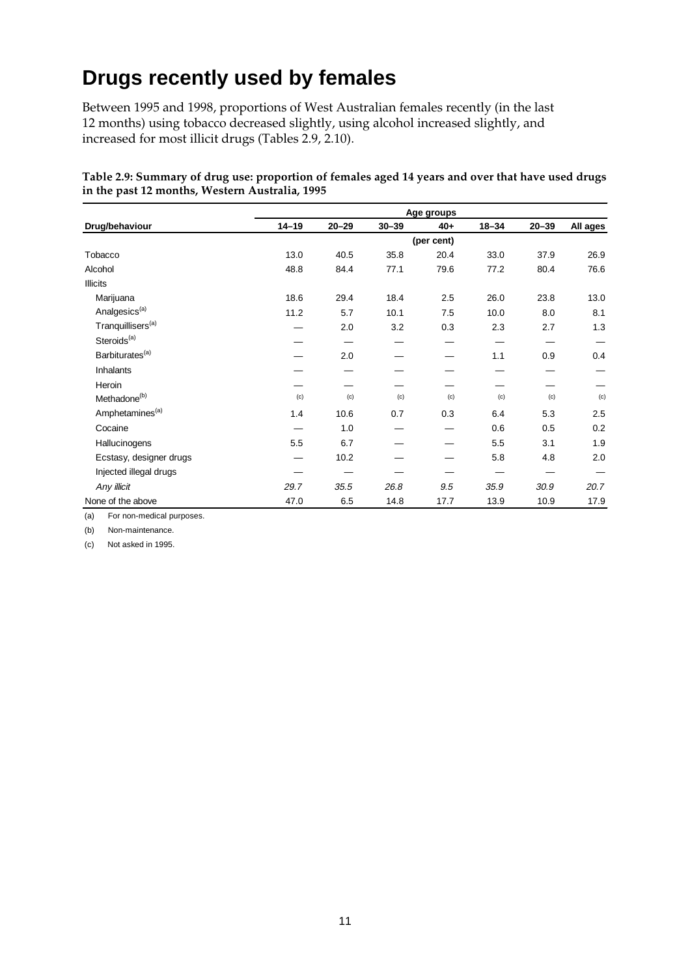### **Drugs recently used by females**

Between 1995 and 1998, proportions of West Australian females recently (in the last 12 months) using tobacco decreased slightly, using alcohol increased slightly, and increased for most illicit drugs (Tables 2.9, 2.10).

**Table 2.9: Summary of drug use: proportion of females aged 14 years and over that have used drugs in the past 12 months, Western Australia, 1995**

|                               | Age groups |           |           |       |           |           |          |  |  |  |
|-------------------------------|------------|-----------|-----------|-------|-----------|-----------|----------|--|--|--|
| Drug/behaviour                | $14 - 19$  | $20 - 29$ | $30 - 39$ | $40+$ | $18 - 34$ | $20 - 39$ | All ages |  |  |  |
|                               | (per cent) |           |           |       |           |           |          |  |  |  |
| Tobacco                       | 13.0       | 40.5      | 35.8      | 20.4  | 33.0      | 37.9      | 26.9     |  |  |  |
| Alcohol                       | 48.8       | 84.4      | 77.1      | 79.6  | 77.2      | 80.4      | 76.6     |  |  |  |
| <b>Illicits</b>               |            |           |           |       |           |           |          |  |  |  |
| Marijuana                     | 18.6       | 29.4      | 18.4      | 2.5   | 26.0      | 23.8      | 13.0     |  |  |  |
| Analgesics <sup>(a)</sup>     | 11.2       | 5.7       | 10.1      | 7.5   | 10.0      | 8.0       | 8.1      |  |  |  |
| Tranquillisers <sup>(a)</sup> |            | 2.0       | 3.2       | 0.3   | 2.3       | 2.7       | 1.3      |  |  |  |
| Steroids <sup>(a)</sup>       |            |           |           |       |           |           |          |  |  |  |
| Barbiturates <sup>(a)</sup>   |            | 2.0       |           |       | 1.1       | 0.9       | 0.4      |  |  |  |
| Inhalants                     |            |           |           |       |           |           |          |  |  |  |
| Heroin                        |            |           |           |       |           |           |          |  |  |  |
| Methadone <sup>(b)</sup>      | (c)        | (c)       | (c)       | (c)   | (c)       | (c)       | (c)      |  |  |  |
| Amphetamines <sup>(a)</sup>   | 1.4        | 10.6      | 0.7       | 0.3   | 6.4       | 5.3       | 2.5      |  |  |  |
| Cocaine                       |            | 1.0       |           |       | 0.6       | 0.5       | 0.2      |  |  |  |
| Hallucinogens                 | 5.5        | 6.7       |           |       | 5.5       | 3.1       | 1.9      |  |  |  |
| Ecstasy, designer drugs       |            | 10.2      |           |       | 5.8       | 4.8       | 2.0      |  |  |  |
| Injected illegal drugs        |            |           |           |       |           |           |          |  |  |  |
| Any illicit                   | 29.7       | 35.5      | 26.8      | 9.5   | 35.9      | 30.9      | 20.7     |  |  |  |
| None of the above             | 47.0       | 6.5       | 14.8      | 17.7  | 13.9      | 10.9      | 17.9     |  |  |  |

(a) For non-medical purposes.

(b) Non-maintenance.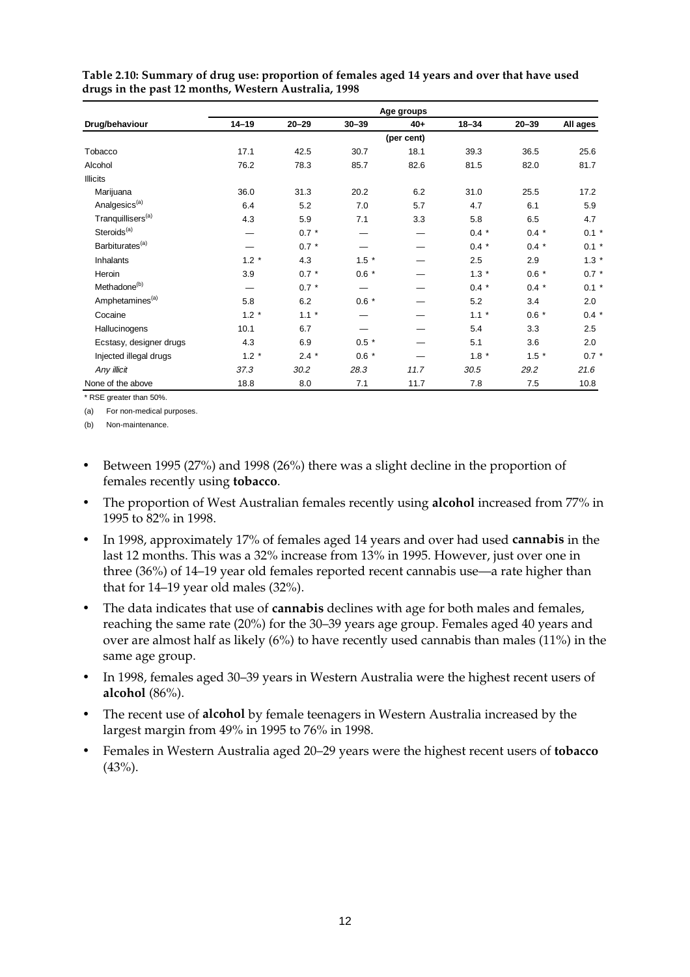|                               | Age groups |           |           |            |         |           |          |  |  |  |
|-------------------------------|------------|-----------|-----------|------------|---------|-----------|----------|--|--|--|
| Drug/behaviour                | $14 - 19$  | $20 - 29$ | $30 - 39$ | $40+$      | 18-34   | $20 - 39$ | All ages |  |  |  |
|                               |            |           |           | (per cent) |         |           |          |  |  |  |
| Tobacco                       | 17.1       | 42.5      | 30.7      | 18.1       | 39.3    | 36.5      | 25.6     |  |  |  |
| Alcohol                       | 76.2       | 78.3      | 85.7      | 82.6       | 81.5    | 82.0      | 81.7     |  |  |  |
| <b>Illicits</b>               |            |           |           |            |         |           |          |  |  |  |
| Marijuana                     | 36.0       | 31.3      | 20.2      | 6.2        | 31.0    | 25.5      | 17.2     |  |  |  |
| Analgesics <sup>(a)</sup>     | 6.4        | 5.2       | 7.0       | 5.7        | 4.7     | 6.1       | 5.9      |  |  |  |
| Tranquillisers <sup>(a)</sup> | 4.3        | 5.9       | 7.1       | 3.3        | 5.8     | 6.5       | 4.7      |  |  |  |
| Steroids <sup>(a)</sup>       |            | $0.7 *$   |           |            | $0.4 *$ | $0.4 *$   | $0.1 *$  |  |  |  |
| Barbiturates <sup>(a)</sup>   |            | $0.7 *$   |           |            | $0.4 *$ | $0.4 *$   | $0.1 *$  |  |  |  |
| Inhalants                     | $1.2 *$    | 4.3       | $1.5*$    |            | 2.5     | 2.9       | $1.3 *$  |  |  |  |
| Heroin                        | 3.9        | $0.7 *$   | $0.6 *$   |            | $1.3*$  | $0.6 *$   | $0.7 *$  |  |  |  |
| Methadone <sup>(b)</sup>      |            | $0.7 *$   |           |            | $0.4 *$ | $0.4 *$   | $0.1 *$  |  |  |  |
| Amphetamines <sup>(a)</sup>   | 5.8        | 6.2       | $0.6 *$   |            | 5.2     | 3.4       | 2.0      |  |  |  |
| Cocaine                       | $1.2 *$    | $1.1 *$   |           |            | $1.1 *$ | $0.6 *$   | $0.4 *$  |  |  |  |
| Hallucinogens                 | 10.1       | 6.7       |           |            | 5.4     | 3.3       | 2.5      |  |  |  |
| Ecstasy, designer drugs       | 4.3        | 6.9       | $0.5 *$   |            | 5.1     | 3.6       | 2.0      |  |  |  |
| Injected illegal drugs        | $1.2 *$    | $2.4 *$   | $0.6 *$   |            | $1.8 *$ | $1.5*$    | $0.7 *$  |  |  |  |
| Any illicit                   | 37.3       | 30.2      | 28.3      | 11.7       | 30.5    | 29.2      | 21.6     |  |  |  |
| None of the above             | 18.8       | 8.0       | 7.1       | 11.7       | 7.8     | 7.5       | 10.8     |  |  |  |

**Table 2.10: Summary of drug use: proportion of females aged 14 years and over that have used drugs in the past 12 months, Western Australia, 1998**

(a) For non-medical purposes.

- Between 1995 (27%) and 1998 (26%) there was a slight decline in the proportion of females recently using **tobacco**.
- The proportion of West Australian females recently using **alcohol** increased from 77% in 1995 to 82% in 1998.
- In 1998, approximately 17% of females aged 14 years and over had used **cannabis** in the last 12 months. This was a 32% increase from 13% in 1995. However, just over one in three (36%) of 14–19 year old females reported recent cannabis use—a rate higher than that for 14–19 year old males (32%).
- The data indicates that use of **cannabis** declines with age for both males and females, reaching the same rate (20%) for the 30–39 years age group. Females aged 40 years and over are almost half as likely (6%) to have recently used cannabis than males (11%) in the same age group.
- In 1998, females aged 30–39 years in Western Australia were the highest recent users of **alcohol** (86%).
- The recent use of **alcohol** by female teenagers in Western Australia increased by the largest margin from 49% in 1995 to 76% in 1998.
- Females in Western Australia aged 20–29 years were the highest recent users of **tobacco** (43%).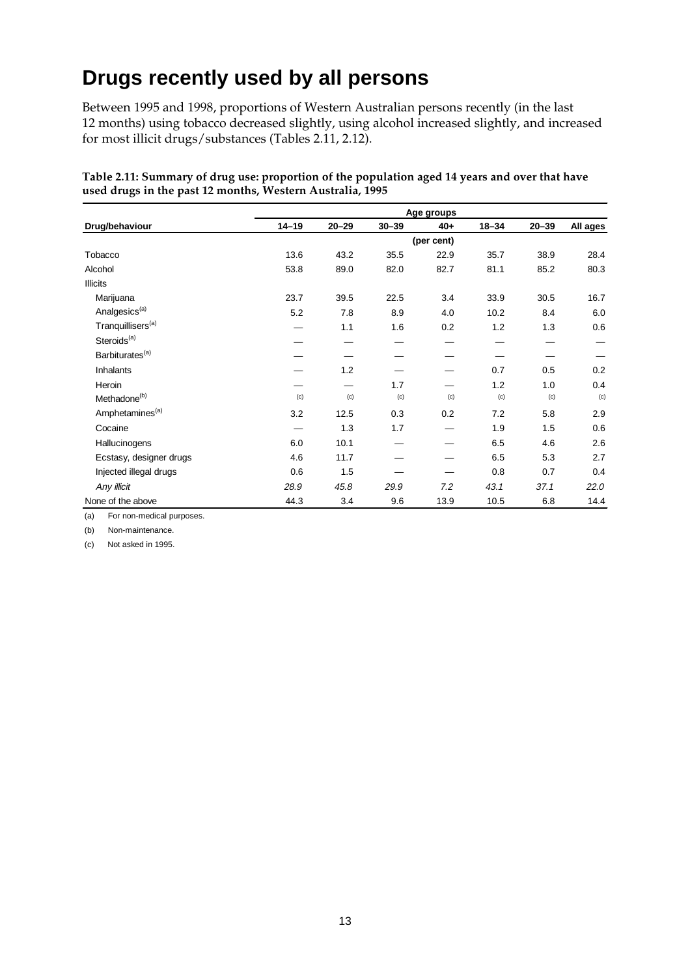### **Drugs recently used by all persons**

Between 1995 and 1998, proportions of Western Australian persons recently (in the last 12 months) using tobacco decreased slightly, using alcohol increased slightly, and increased for most illicit drugs/substances (Tables 2.11, 2.12).

|                               |           |           |           | Age groups |           |           |          |
|-------------------------------|-----------|-----------|-----------|------------|-----------|-----------|----------|
| Drug/behaviour                | $14 - 19$ | $20 - 29$ | $30 - 39$ | $40+$      | $18 - 34$ | $20 - 39$ | All ages |
|                               |           |           |           | (per cent) |           |           |          |
| Tobacco                       | 13.6      | 43.2      | 35.5      | 22.9       | 35.7      | 38.9      | 28.4     |
| Alcohol                       | 53.8      | 89.0      | 82.0      | 82.7       | 81.1      | 85.2      | 80.3     |
| <b>Illicits</b>               |           |           |           |            |           |           |          |
| Marijuana                     | 23.7      | 39.5      | 22.5      | 3.4        | 33.9      | 30.5      | 16.7     |
| Analgesics <sup>(a)</sup>     | 5.2       | 7.8       | 8.9       | 4.0        | 10.2      | 8.4       | 6.0      |
| Tranquillisers <sup>(a)</sup> |           | 1.1       | 1.6       | 0.2        | 1.2       | 1.3       | 0.6      |
| Steroids <sup>(a)</sup>       |           |           |           |            |           |           |          |
| Barbiturates <sup>(a)</sup>   |           |           |           |            |           |           |          |
| Inhalants                     |           | 1.2       |           |            | 0.7       | 0.5       | 0.2      |
| Heroin                        |           |           | 1.7       |            | 1.2       | 1.0       | 0.4      |
| Methadone <sup>(b)</sup>      | (c)       | (c)       | (c)       | (c)        | (c)       | (c)       | (c)      |
| Amphetamines <sup>(a)</sup>   | 3.2       | 12.5      | 0.3       | 0.2        | 7.2       | 5.8       | 2.9      |
| Cocaine                       |           | 1.3       | 1.7       |            | 1.9       | 1.5       | 0.6      |
| Hallucinogens                 | 6.0       | 10.1      |           |            | 6.5       | 4.6       | 2.6      |
| Ecstasy, designer drugs       | 4.6       | 11.7      |           |            | 6.5       | 5.3       | 2.7      |
| Injected illegal drugs        | 0.6       | 1.5       |           |            | 0.8       | 0.7       | 0.4      |
| Any illicit                   | 28.9      | 45.8      | 29.9      | 7.2        | 43.1      | 37.1      | 22.0     |
| None of the above             | 44.3      | 3.4       | 9.6       | 13.9       | 10.5      | 6.8       | 14.4     |

#### **Table 2.11: Summary of drug use: proportion of the population aged 14 years and over that have used drugs in the past 12 months, Western Australia, 1995**

(a) For non-medical purposes.

(b) Non-maintenance.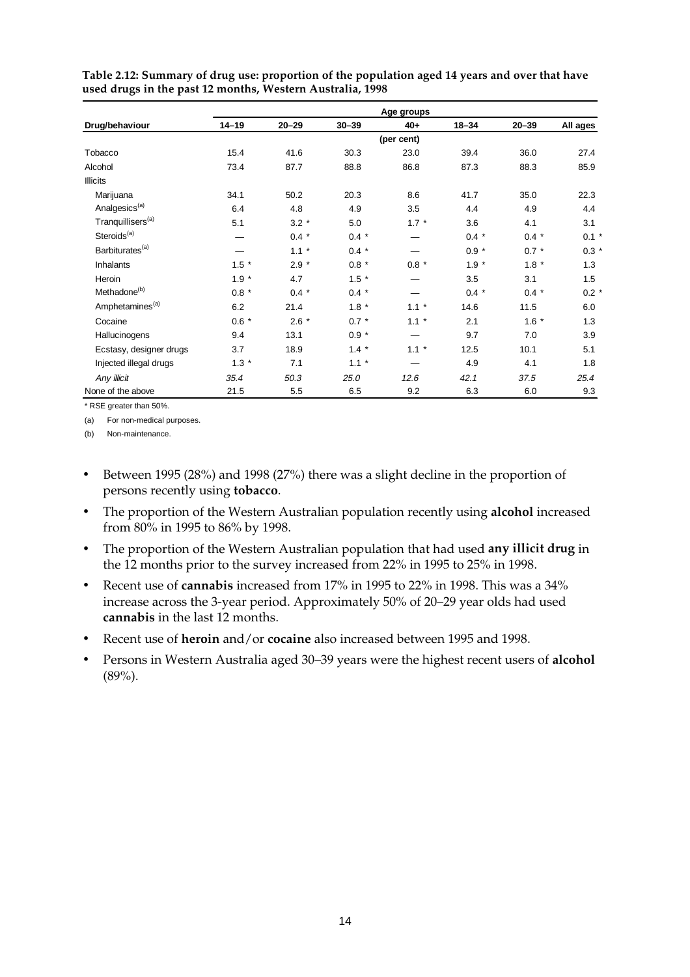|                               |           |           |           | Age groups |           |           |          |
|-------------------------------|-----------|-----------|-----------|------------|-----------|-----------|----------|
| Drug/behaviour                | $14 - 19$ | $20 - 29$ | $30 - 39$ | $40+$      | $18 - 34$ | $20 - 39$ | All ages |
|                               |           |           |           | (per cent) |           |           |          |
| Tobacco                       | 15.4      | 41.6      | 30.3      | 23.0       | 39.4      | 36.0      | 27.4     |
| Alcohol                       | 73.4      | 87.7      | 88.8      | 86.8       | 87.3      | 88.3      | 85.9     |
| <b>Illicits</b>               |           |           |           |            |           |           |          |
| Marijuana                     | 34.1      | 50.2      | 20.3      | 8.6        | 41.7      | 35.0      | 22.3     |
| Analgesics <sup>(a)</sup>     | 6.4       | 4.8       | 4.9       | 3.5        | 4.4       | 4.9       | 4.4      |
| Tranquillisers <sup>(a)</sup> | 5.1       | $3.2*$    | 5.0       | $1.7 *$    | 3.6       | 4.1       | 3.1      |
| Steroids <sup>(a)</sup>       |           | $0.4 *$   | $0.4 *$   |            | $0.4 *$   | $0.4 *$   | $0.1 *$  |
| Barbiturates <sup>(a)</sup>   |           | $1.1 *$   | $0.4 *$   |            | $0.9 *$   | $0.7 *$   | $0.3 *$  |
| Inhalants                     | $1.5 *$   | $2.9 *$   | $0.8 *$   | $0.8 *$    | $1.9 *$   | $1.8 *$   | 1.3      |
| Heroin                        | $1.9 *$   | 4.7       | $1.5*$    |            | 3.5       | 3.1       | 1.5      |
| Methadone <sup>(b)</sup>      | $0.8 *$   | $0.4 *$   | $0.4 *$   |            | $0.4 *$   | $0.4 *$   | $0.2 *$  |
| Amphetamines <sup>(a)</sup>   | 6.2       | 21.4      | $1.8 *$   | $1.1 *$    | 14.6      | 11.5      | 6.0      |
| Cocaine                       | $0.6 *$   | $2.6*$    | $0.7 *$   | $1.1 *$    | 2.1       | $1.6*$    | 1.3      |
| Hallucinogens                 | 9.4       | 13.1      | $0.9 *$   |            | 9.7       | 7.0       | 3.9      |
| Ecstasy, designer drugs       | 3.7       | 18.9      | $1.4 *$   | $1.1 *$    | 12.5      | 10.1      | 5.1      |
| Injected illegal drugs        | $1.3*$    | 7.1       | $1.1 *$   |            | 4.9       | 4.1       | 1.8      |
| Any illicit                   | 35.4      | 50.3      | 25.0      | 12.6       | 42.1      | 37.5      | 25.4     |
| None of the above             | 21.5      | 5.5       | 6.5       | 9.2        | 6.3       | 6.0       | 9.3      |

**Table 2.12: Summary of drug use: proportion of the population aged 14 years and over that have used drugs in the past 12 months, Western Australia, 1998**

(a) For non-medical purposes.

- Between 1995 (28%) and 1998 (27%) there was a slight decline in the proportion of persons recently using **tobacco**.
- The proportion of the Western Australian population recently using **alcohol** increased from 80% in 1995 to 86% by 1998.
- The proportion of the Western Australian population that had used **any illicit drug** in the 12 months prior to the survey increased from 22% in 1995 to 25% in 1998.
- Recent use of **cannabis** increased from 17% in 1995 to 22% in 1998. This was a 34% increase across the 3-year period. Approximately 50% of 20–29 year olds had used **cannabis** in the last 12 months.
- Recent use of **heroin** and/or **cocaine** also increased between 1995 and 1998.
- Persons in Western Australia aged 30–39 years were the highest recent users of **alcohol** (89%).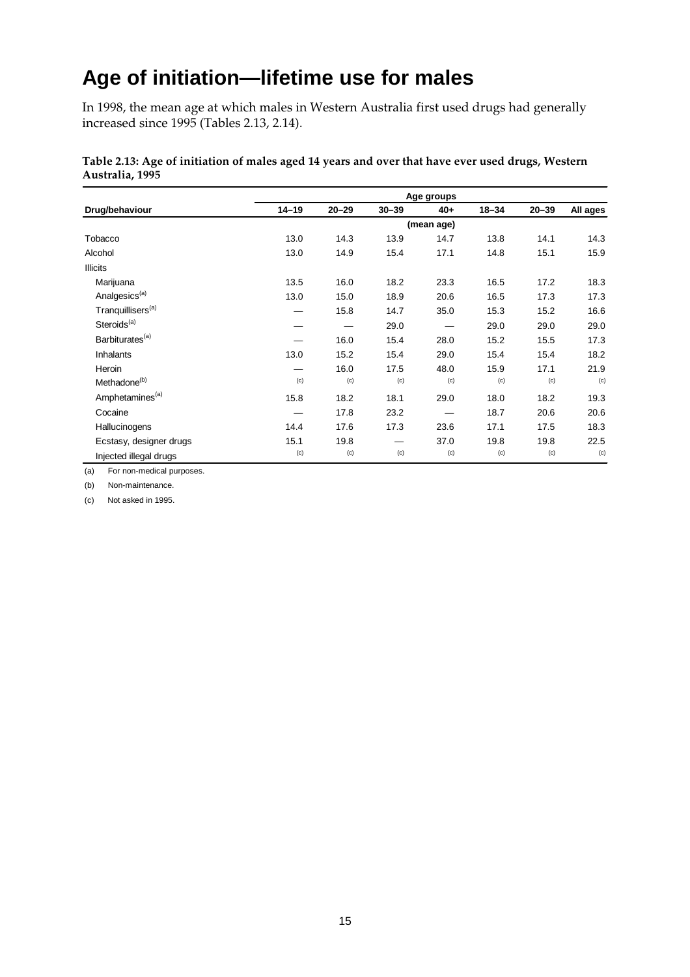#### **Age of initiation—lifetime use for males**

In 1998, the mean age at which males in Western Australia first used drugs had generally increased since 1995 (Tables 2.13, 2.14).

#### **Drug/behaviour 14–19 20–29 30–39 40+ 18–34 20–39 All ages (mean age)** Tobacco 13.0 14.3 13.9 14.7 13.8 14.1 14.3 Alcohol 13.0 14.9 15.4 17.1 14.8 15.1 15.9 Illicits **Age groups**

Marijuana 13.5 16.0 18.2 23.3 16.5 17.2 18.3 Analgesics<sup>(a)</sup> 13.0 15.0 18.9 20.6 16.5 17.3 17.3 Tranquillisers<sup>(a)</sup> — 15.8 14.7 35.0 15.3 15.2 16.6 Steroids(a) — — 29.0 — 29.0 29.0 29.0

#### **Table 2.13: Age of initiation of males aged 14 years and over that have ever used drugs, Western Australia, 1995**

| Barbiturates <sup>(a)</sup> |      | 16.0 | 15.4 | 28.0 | 15.2 | 15.5 | 17.3 |
|-----------------------------|------|------|------|------|------|------|------|
| Inhalants                   | 13.0 | 15.2 | 15.4 | 29.0 | 15.4 | 15.4 | 18.2 |
| Heroin                      |      | 16.0 | 17.5 | 48.0 | 15.9 | 17.1 | 21.9 |
| Methadone <sup>(b)</sup>    | (c)  | (c)  | (c)  | (c)  | (c)  | (c)  | (c)  |
| Amphetamines <sup>(a)</sup> | 15.8 | 18.2 | 18.1 | 29.0 | 18.0 | 18.2 | 19.3 |
| Cocaine                     |      | 17.8 | 23.2 |      | 18.7 | 20.6 | 20.6 |
| Hallucinogens               | 14.4 | 17.6 | 17.3 | 23.6 | 17.1 | 17.5 | 18.3 |
| Ecstasy, designer drugs     | 15.1 | 19.8 |      | 37.0 | 19.8 | 19.8 | 22.5 |
| Injected illegal drugs      | (c)  | (c)  | (c)  | (c)  | (c)  | (c)  | (c)  |
| For non modical purposes    |      |      |      |      |      |      |      |

(a) For non-medical purposes.

(b) Non-maintenance.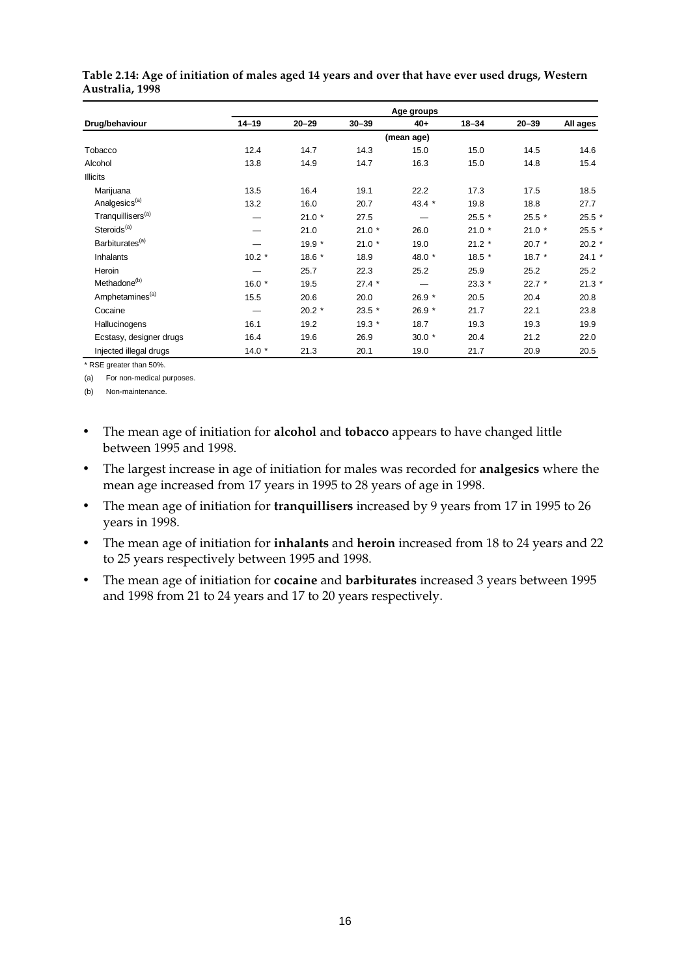|                               |           | Age groups |           |            |           |           |          |  |  |
|-------------------------------|-----------|------------|-----------|------------|-----------|-----------|----------|--|--|
| Drug/behaviour                | $14 - 19$ | $20 - 29$  | $30 - 39$ | $40+$      | $18 - 34$ | $20 - 39$ | All ages |  |  |
|                               |           |            |           | (mean age) |           |           |          |  |  |
| Tobacco                       | 12.4      | 14.7       | 14.3      | 15.0       | 15.0      | 14.5      | 14.6     |  |  |
| Alcohol                       | 13.8      | 14.9       | 14.7      | 16.3       | 15.0      | 14.8      | 15.4     |  |  |
| <b>Illicits</b>               |           |            |           |            |           |           |          |  |  |
| Marijuana                     | 13.5      | 16.4       | 19.1      | 22.2       | 17.3      | 17.5      | 18.5     |  |  |
| Analgesics <sup>(a)</sup>     | 13.2      | 16.0       | 20.7      | 43.4 *     | 19.8      | 18.8      | 27.7     |  |  |
| Tranquillisers <sup>(a)</sup> |           | $21.0*$    | 27.5      |            | $25.5$ *  | 25.5 *    | 25.5 *   |  |  |
| Steroids <sup>(a)</sup>       |           | 21.0       | $21.0*$   | 26.0       | $21.0*$   | $21.0*$   | $25.5*$  |  |  |
| Barbiturates <sup>(a)</sup>   |           | $19.9*$    | $21.0*$   | 19.0       | $21.2*$   | $20.7$ *  | $20.2*$  |  |  |
| Inhalants                     | $10.2$ *  | $18.6*$    | 18.9      | 48.0 *     | $18.5*$   | $18.7*$   | $24.1$ * |  |  |
| Heroin                        |           | 25.7       | 22.3      | 25.2       | 25.9      | 25.2      | 25.2     |  |  |
| Methadone <sup>(b)</sup>      | $16.0*$   | 19.5       | $27.4$ *  |            | $23.3*$   | $22.7$ *  | $21.3*$  |  |  |
| Amphetamines <sup>(a)</sup>   | 15.5      | 20.6       | 20.0      | $26.9*$    | 20.5      | 20.4      | 20.8     |  |  |
| Cocaine                       |           | $20.2*$    | $23.5$ *  | $26.9*$    | 21.7      | 22.1      | 23.8     |  |  |
| Hallucinogens                 | 16.1      | 19.2       | $19.3*$   | 18.7       | 19.3      | 19.3      | 19.9     |  |  |
| Ecstasy, designer drugs       | 16.4      | 19.6       | 26.9      | $30.0*$    | 20.4      | 21.2      | 22.0     |  |  |
| Injected illegal drugs        | $14.0*$   | 21.3       | 20.1      | 19.0       | 21.7      | 20.9      | 20.5     |  |  |

**Table 2.14: Age of initiation of males aged 14 years and over that have ever used drugs, Western Australia, 1998**

(a) For non-medical purposes.

- The mean age of initiation for **alcohol** and **tobacco** appears to have changed little between 1995 and 1998.
- The largest increase in age of initiation for males was recorded for **analgesics** where the mean age increased from 17 years in 1995 to 28 years of age in 1998.
- The mean age of initiation for **tranquillisers** increased by 9 years from 17 in 1995 to 26 years in 1998.
- The mean age of initiation for **inhalants** and **heroin** increased from 18 to 24 years and 22 to 25 years respectively between 1995 and 1998.
- The mean age of initiation for **cocaine** and **barbiturates** increased 3 years between 1995 and 1998 from 21 to 24 years and 17 to 20 years respectively.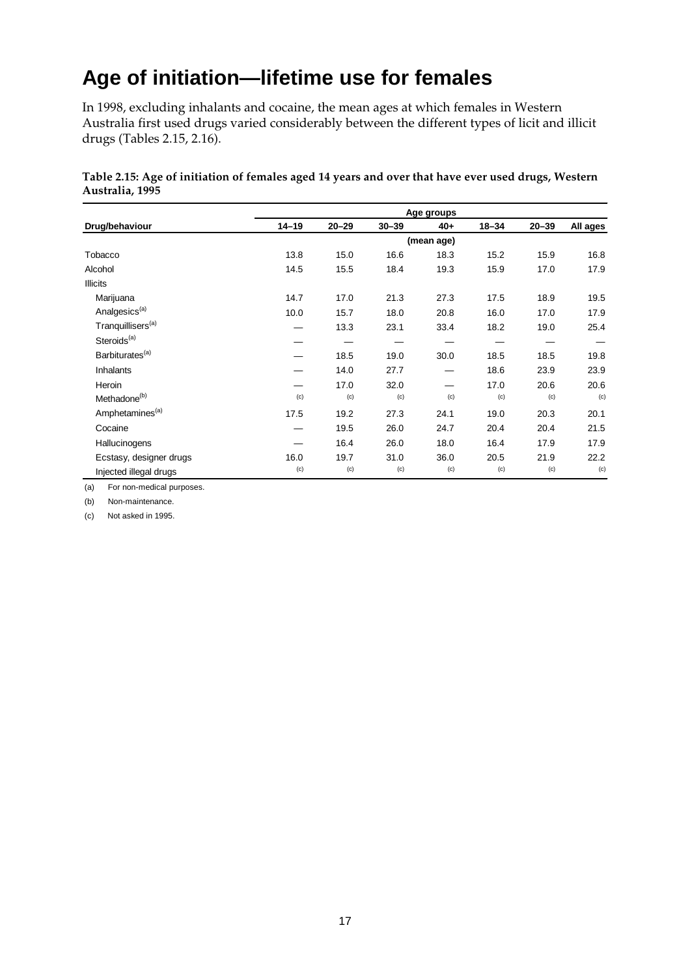### **Age of initiation—lifetime use for females**

In 1998, excluding inhalants and cocaine, the mean ages at which females in Western Australia first used drugs varied considerably between the different types of licit and illicit drugs (Tables 2.15, 2.16).

| Table 2.15: Age of initiation of females aged 14 years and over that have ever used drugs, Western |  |
|----------------------------------------------------------------------------------------------------|--|
| Australia, 1995                                                                                    |  |

|                               |           |           |           | Age groups |           |           |          |
|-------------------------------|-----------|-----------|-----------|------------|-----------|-----------|----------|
| Drug/behaviour                | $14 - 19$ | $20 - 29$ | $30 - 39$ | $40+$      | $18 - 34$ | $20 - 39$ | All ages |
|                               |           |           |           | (mean age) |           |           |          |
| Tobacco                       | 13.8      | 15.0      | 16.6      | 18.3       | 15.2      | 15.9      | 16.8     |
| Alcohol                       | 14.5      | 15.5      | 18.4      | 19.3       | 15.9      | 17.0      | 17.9     |
| <b>Illicits</b>               |           |           |           |            |           |           |          |
| Marijuana                     | 14.7      | 17.0      | 21.3      | 27.3       | 17.5      | 18.9      | 19.5     |
| Analgesics <sup>(a)</sup>     | 10.0      | 15.7      | 18.0      | 20.8       | 16.0      | 17.0      | 17.9     |
| Tranquillisers <sup>(a)</sup> |           | 13.3      | 23.1      | 33.4       | 18.2      | 19.0      | 25.4     |
| Steroids <sup>(a)</sup>       |           |           |           |            |           |           |          |
| Barbiturates <sup>(a)</sup>   |           | 18.5      | 19.0      | 30.0       | 18.5      | 18.5      | 19.8     |
| Inhalants                     |           | 14.0      | 27.7      |            | 18.6      | 23.9      | 23.9     |
| Heroin                        |           | 17.0      | 32.0      |            | 17.0      | 20.6      | 20.6     |
| Methadone <sup>(b)</sup>      | (c)       | (c)       | (c)       | (c)        | (c)       | (c)       | (c)      |
| Amphetamines <sup>(a)</sup>   | 17.5      | 19.2      | 27.3      | 24.1       | 19.0      | 20.3      | 20.1     |
| Cocaine                       |           | 19.5      | 26.0      | 24.7       | 20.4      | 20.4      | 21.5     |
| Hallucinogens                 |           | 16.4      | 26.0      | 18.0       | 16.4      | 17.9      | 17.9     |
| Ecstasy, designer drugs       | 16.0      | 19.7      | 31.0      | 36.0       | 20.5      | 21.9      | 22.2     |
| Injected illegal drugs        | (c)       | (c)       | (c)       | (c)        | (c)       | (c)       | (c)      |

(a) For non-medical purposes.

(b) Non-maintenance.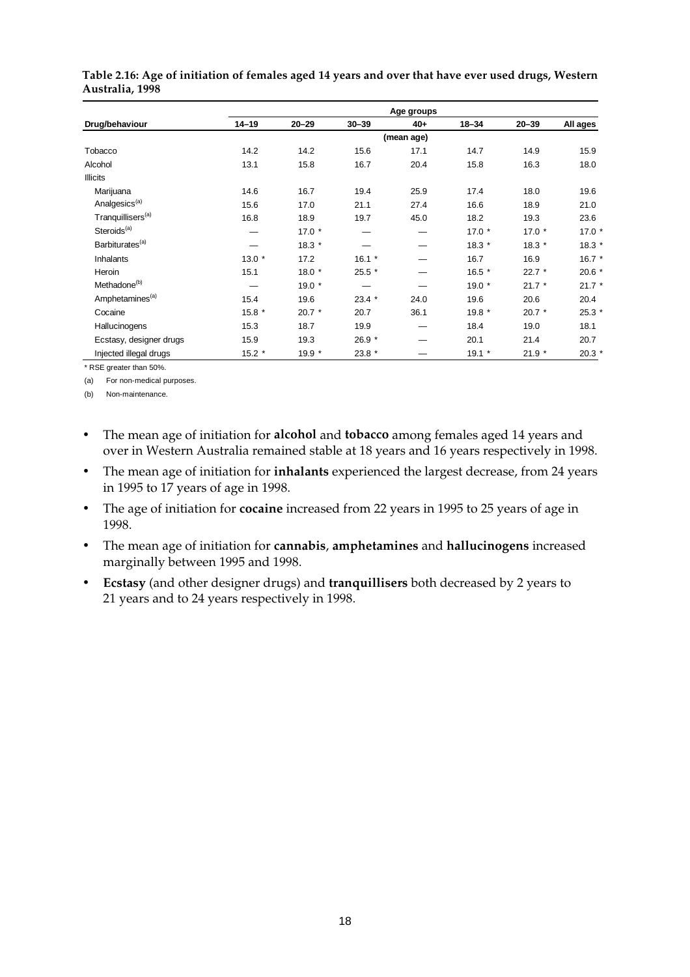|                               |           | Age groups |           |            |          |            |          |  |  |  |
|-------------------------------|-----------|------------|-----------|------------|----------|------------|----------|--|--|--|
| Drug/behaviour                | $14 - 19$ | $20 - 29$  | $30 - 39$ | 40+        | 18-34    | $20 - 39$  | All ages |  |  |  |
|                               |           |            |           | (mean age) |          |            |          |  |  |  |
| Tobacco                       | 14.2      | 14.2       | 15.6      | 17.1       | 14.7     | 14.9       | 15.9     |  |  |  |
| Alcohol                       | 13.1      | 15.8       | 16.7      | 20.4       | 15.8     | 16.3       | 18.0     |  |  |  |
| <b>Illicits</b>               |           |            |           |            |          |            |          |  |  |  |
| Marijuana                     | 14.6      | 16.7       | 19.4      | 25.9       | 17.4     | 18.0       | 19.6     |  |  |  |
| Analgesics <sup>(a)</sup>     | 15.6      | 17.0       | 21.1      | 27.4       | 16.6     | 18.9       | 21.0     |  |  |  |
| Tranquillisers <sup>(a)</sup> | 16.8      | 18.9       | 19.7      | 45.0       | 18.2     | 19.3       | 23.6     |  |  |  |
| Steroids <sup>(a)</sup>       |           | $17.0*$    |           |            | $17.0*$  | $17.0*$    | $17.0*$  |  |  |  |
| Barbiturates <sup>(a)</sup>   |           | $18.3*$    |           |            | $18.3*$  | $18.3*$    | $18.3*$  |  |  |  |
| <b>Inhalants</b>              | $13.0*$   | 17.2       | $16.1 *$  |            | 16.7     | 16.9       | $16.7*$  |  |  |  |
| Heroin                        | 15.1      | $18.0*$    | 25.5 *    |            | $16.5*$  | $22.7$ $*$ | $20.6*$  |  |  |  |
| Methadone <sup>(b)</sup>      |           | $19.0*$    |           |            | $19.0*$  | $21.7 *$   | $21.7*$  |  |  |  |
| Amphetamines <sup>(a)</sup>   | 15.4      | 19.6       | $23.4*$   | 24.0       | 19.6     | 20.6       | 20.4     |  |  |  |
| Cocaine                       | $15.8*$   | $20.7*$    | 20.7      | 36.1       | $19.8*$  | $20.7 *$   | $25.3*$  |  |  |  |
| Hallucinogens                 | 15.3      | 18.7       | 19.9      |            | 18.4     | 19.0       | 18.1     |  |  |  |
| Ecstasy, designer drugs       | 15.9      | 19.3       | 26.9 *    |            | 20.1     | 21.4       | 20.7     |  |  |  |
| Injected illegal drugs        | $15.2*$   | $19.9*$    | $23.8*$   |            | $19.1 *$ | $21.9*$    | $20.3*$  |  |  |  |

**Table 2.16: Age of initiation of females aged 14 years and over that have ever used drugs, Western Australia, 1998**

(a) For non-medical purposes.

- The mean age of initiation for **alcohol** and **tobacco** among females aged 14 years and over in Western Australia remained stable at 18 years and 16 years respectively in 1998.
- The mean age of initiation for **inhalants** experienced the largest decrease, from 24 years in 1995 to 17 years of age in 1998.
- The age of initiation for **cocaine** increased from 22 years in 1995 to 25 years of age in 1998.
- The mean age of initiation for **cannabis**, **amphetamines** and **hallucinogens** increased marginally between 1995 and 1998.
- **Ecstasy** (and other designer drugs) and **tranquillisers** both decreased by 2 years to 21 years and to 24 years respectively in 1998.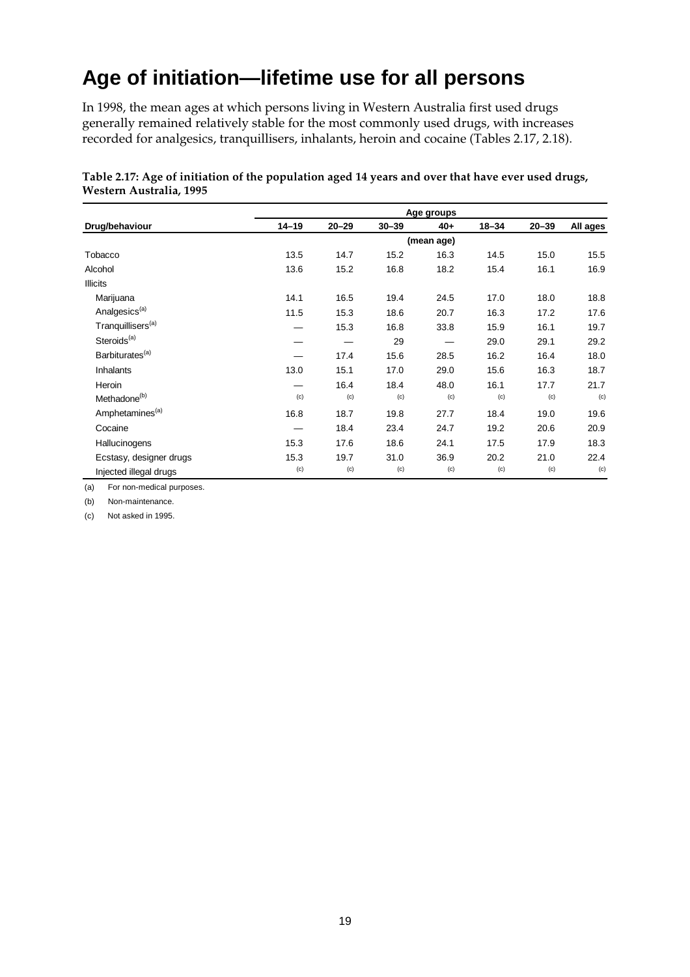### **Age of initiation—lifetime use for all persons**

In 1998, the mean ages at which persons living in Western Australia first used drugs generally remained relatively stable for the most commonly used drugs, with increases recorded for analgesics, tranquillisers, inhalants, heroin and cocaine (Tables 2.17, 2.18).

|                               |           |           |           | Age groups |       |           |          |
|-------------------------------|-----------|-----------|-----------|------------|-------|-----------|----------|
| Drug/behaviour                | $14 - 19$ | $20 - 29$ | $30 - 39$ | $40+$      | 18-34 | $20 - 39$ | All ages |
|                               |           |           |           | (mean age) |       |           |          |
| Tobacco                       | 13.5      | 14.7      | 15.2      | 16.3       | 14.5  | 15.0      | 15.5     |
| Alcohol                       | 13.6      | 15.2      | 16.8      | 18.2       | 15.4  | 16.1      | 16.9     |
| <b>Illicits</b>               |           |           |           |            |       |           |          |
| Marijuana                     | 14.1      | 16.5      | 19.4      | 24.5       | 17.0  | 18.0      | 18.8     |
| Analgesics <sup>(a)</sup>     | 11.5      | 15.3      | 18.6      | 20.7       | 16.3  | 17.2      | 17.6     |
| Tranquillisers <sup>(a)</sup> |           | 15.3      | 16.8      | 33.8       | 15.9  | 16.1      | 19.7     |
| Steroids <sup>(a)</sup>       |           |           | 29        | –          | 29.0  | 29.1      | 29.2     |
| Barbiturates <sup>(a)</sup>   |           | 17.4      | 15.6      | 28.5       | 16.2  | 16.4      | 18.0     |
| Inhalants                     | 13.0      | 15.1      | 17.0      | 29.0       | 15.6  | 16.3      | 18.7     |
| Heroin                        |           | 16.4      | 18.4      | 48.0       | 16.1  | 17.7      | 21.7     |
| Methadone <sup>(b)</sup>      | (c)       | (c)       | (c)       | (c)        | (c)   | (c)       | (c)      |
| Amphetamines <sup>(a)</sup>   | 16.8      | 18.7      | 19.8      | 27.7       | 18.4  | 19.0      | 19.6     |
| Cocaine                       |           | 18.4      | 23.4      | 24.7       | 19.2  | 20.6      | 20.9     |
| Hallucinogens                 | 15.3      | 17.6      | 18.6      | 24.1       | 17.5  | 17.9      | 18.3     |
| Ecstasy, designer drugs       | 15.3      | 19.7      | 31.0      | 36.9       | 20.2  | 21.0      | 22.4     |
| Injected illegal drugs        | (c)       | (c)       | (c)       | (c)        | (c)   | (c)       | (c)      |

#### **Table 2.17: Age of initiation of the population aged 14 years and over that have ever used drugs, Western Australia, 1995**

(a) For non-medical purposes.

(b) Non-maintenance.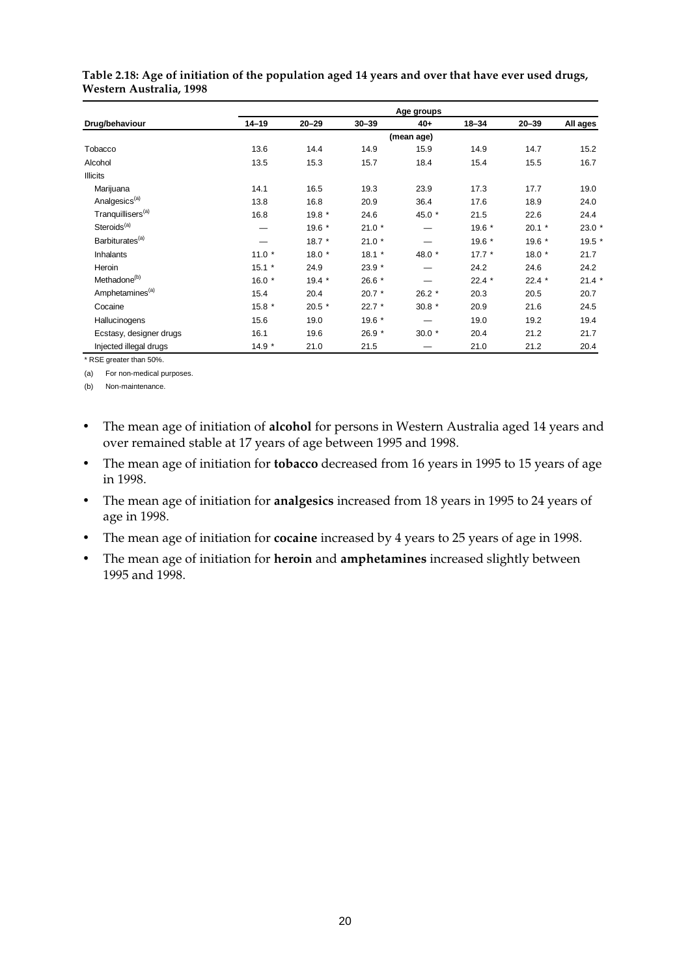|                               |           |           |           | Age groups |           |           |          |
|-------------------------------|-----------|-----------|-----------|------------|-----------|-----------|----------|
| Drug/behaviour                | $14 - 19$ | $20 - 29$ | $30 - 39$ | 40+        | $18 - 34$ | $20 - 39$ | All ages |
|                               |           |           |           | (mean age) |           |           |          |
| Tobacco                       | 13.6      | 14.4      | 14.9      | 15.9       | 14.9      | 14.7      | 15.2     |
| Alcohol                       | 13.5      | 15.3      | 15.7      | 18.4       | 15.4      | 15.5      | 16.7     |
| <b>Illicits</b>               |           |           |           |            |           |           |          |
| Marijuana                     | 14.1      | 16.5      | 19.3      | 23.9       | 17.3      | 17.7      | 19.0     |
| Analgesics <sup>(a)</sup>     | 13.8      | 16.8      | 20.9      | 36.4       | 17.6      | 18.9      | 24.0     |
| Tranquillisers <sup>(a)</sup> | 16.8      | $19.8*$   | 24.6      | 45.0 *     | 21.5      | 22.6      | 24.4     |
| Steroids <sup>(a)</sup>       |           | 19.6 *    | $21.0*$   |            | 19.6 *    | $20.1 *$  | $23.0*$  |
| Barbiturates <sup>(a)</sup>   |           | $18.7*$   | $21.0*$   |            | 19.6 *    | 19.6 *    | 19.5 *   |
| <b>Inhalants</b>              | $11.0*$   | $18.0*$   | $18.1 *$  | 48.0 *     | $17.7*$   | $18.0*$   | 21.7     |
| Heroin                        | $15.1*$   | 24.9      | 23.9 *    |            | 24.2      | 24.6      | 24.2     |
| Methadone <sup>(b)</sup>      | $16.0*$   | $19.4*$   | 26.6 *    |            | $22.4*$   | $22.4$ *  | $21.4*$  |
| Amphetamines <sup>(a)</sup>   | 15.4      | 20.4      | $20.7*$   | $26.2*$    | 20.3      | 20.5      | 20.7     |
| Cocaine                       | $15.8*$   | $20.5*$   | $22.7*$   | $30.8*$    | 20.9      | 21.6      | 24.5     |
| Hallucinogens                 | 15.6      | 19.0      | 19.6 *    |            | 19.0      | 19.2      | 19.4     |
| Ecstasy, designer drugs       | 16.1      | 19.6      | 26.9 *    | $30.0*$    | 20.4      | 21.2      | 21.7     |
| Injected illegal drugs        | $14.9*$   | 21.0      | 21.5      |            | 21.0      | 21.2      | 20.4     |

**Table 2.18: Age of initiation of the population aged 14 years and over that have ever used drugs, Western Australia, 1998**

(a) For non-medical purposes.

- The mean age of initiation of **alcohol** for persons in Western Australia aged 14 years and over remained stable at 17 years of age between 1995 and 1998.
- The mean age of initiation for **tobacco** decreased from 16 years in 1995 to 15 years of age in 1998.
- The mean age of initiation for **analgesics** increased from 18 years in 1995 to 24 years of age in 1998.
- The mean age of initiation for **cocaine** increased by 4 years to 25 years of age in 1998.
- The mean age of initiation for **heroin** and **amphetamines** increased slightly between 1995 and 1998.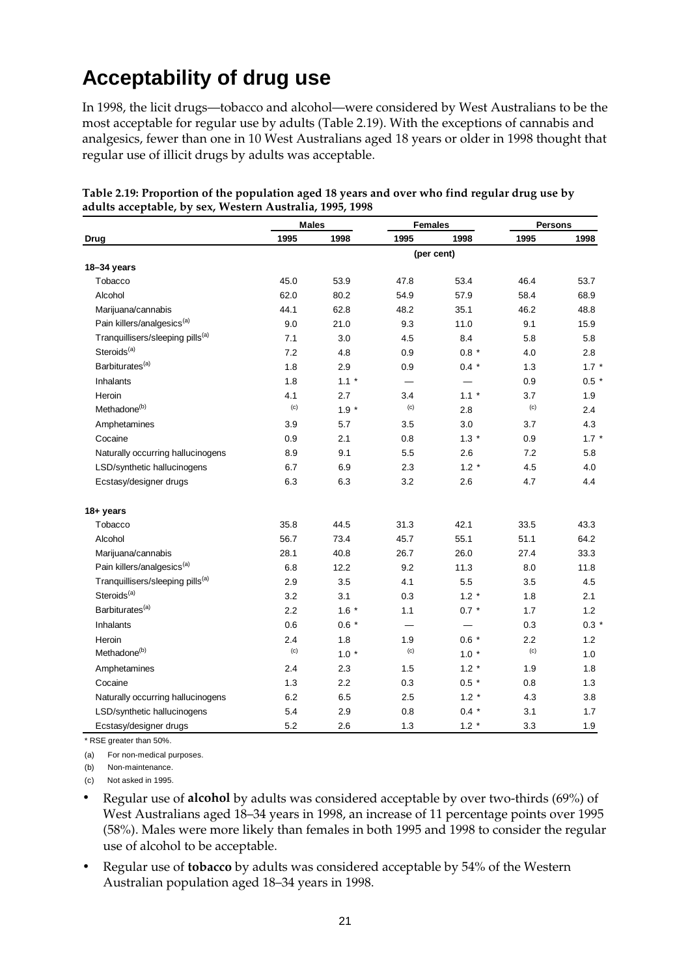## **Acceptability of drug use**

In 1998, the licit drugs—tobacco and alcohol—were considered by West Australians to be the most acceptable for regular use by adults (Table 2.19). With the exceptions of cannabis and analgesics, fewer than one in 10 West Australians aged 18 years or older in 1998 thought that regular use of illicit drugs by adults was acceptable.

|                                              | <b>Males</b> |         | <b>Females</b> |            |      | <b>Persons</b> |  |
|----------------------------------------------|--------------|---------|----------------|------------|------|----------------|--|
| <b>Drug</b>                                  | 1995         | 1998    | 1995           | 1998       | 1995 | 1998           |  |
|                                              |              |         |                | (per cent) |      |                |  |
| 18-34 years                                  |              |         |                |            |      |                |  |
| Tobacco                                      | 45.0         | 53.9    | 47.8           | 53.4       | 46.4 | 53.7           |  |
| Alcohol                                      | 62.0         | 80.2    | 54.9           | 57.9       | 58.4 | 68.9           |  |
| Marijuana/cannabis                           | 44.1         | 62.8    | 48.2           | 35.1       | 46.2 | 48.8           |  |
| Pain killers/analgesics <sup>(a)</sup>       | 9.0          | 21.0    | 9.3            | 11.0       | 9.1  | 15.9           |  |
| Tranquillisers/sleeping pills <sup>(a)</sup> | 7.1          | 3.0     | 4.5            | 8.4        | 5.8  | 5.8            |  |
| Steroids <sup>(a)</sup>                      | 7.2          | 4.8     | 0.9            | $0.8 *$    | 4.0  | 2.8            |  |
| Barbiturates <sup>(a)</sup>                  | 1.8          | 2.9     | 0.9            | $0.4 *$    | 1.3  | $1.7 *$        |  |
| Inhalants                                    | 1.8          | $1.1 *$ |                |            | 0.9  | $0.5 *$        |  |
| Heroin                                       | 4.1          | 2.7     | 3.4            | $1.1 *$    | 3.7  | 1.9            |  |
| Methadone <sup>(b)</sup>                     | (c)          | $1.9 *$ | (c)            | 2.8        | (c)  | 2.4            |  |
| Amphetamines                                 | 3.9          | 5.7     | 3.5            | 3.0        | 3.7  | 4.3            |  |
| Cocaine                                      | 0.9          | 2.1     | 0.8            | $1.3 *$    | 0.9  | $1.7 *$        |  |
| Naturally occurring hallucinogens            | 8.9          | 9.1     | 5.5            | 2.6        | 7.2  | 5.8            |  |
| LSD/synthetic hallucinogens                  | 6.7          | 6.9     | 2.3            | $1.2 *$    | 4.5  | 4.0            |  |
| Ecstasy/designer drugs                       | 6.3          | 6.3     | 3.2            | 2.6        | 4.7  | 4.4            |  |
| 18+ years                                    |              |         |                |            |      |                |  |
| Tobacco                                      | 35.8         | 44.5    | 31.3           | 42.1       | 33.5 | 43.3           |  |
| Alcohol                                      | 56.7         | 73.4    | 45.7           | 55.1       | 51.1 | 64.2           |  |
| Marijuana/cannabis                           | 28.1         | 40.8    | 26.7           | 26.0       | 27.4 | 33.3           |  |
| Pain killers/analgesics <sup>(a)</sup>       | 6.8          | 12.2    | 9.2            | 11.3       | 8.0  | 11.8           |  |
| Tranquillisers/sleeping pills <sup>(a)</sup> | 2.9          | 3.5     | 4.1            | 5.5        | 3.5  | 4.5            |  |
| Steroids <sup>(a)</sup>                      | 3.2          | 3.1     | 0.3            | $1.2 *$    | 1.8  | 2.1            |  |
| Barbiturates <sup>(a)</sup>                  | 2.2          | $1.6 *$ | 1.1            | $0.7 *$    | 1.7  | 1.2            |  |
| Inhalants                                    | 0.6          | $0.6 *$ |                |            | 0.3  | $0.3 *$        |  |
| Heroin                                       | 2.4          | 1.8     | 1.9            | $0.6 *$    | 2.2  | 1.2            |  |
| Methadone <sup>(b)</sup>                     | (c)          | $1.0*$  | (c)            | $1.0*$     | (c)  | 1.0            |  |
| Amphetamines                                 | 2.4          | 2.3     | 1.5            | $1.2 *$    | 1.9  | 1.8            |  |
| Cocaine                                      | 1.3          | 2.2     | 0.3            | $0.5 *$    | 0.8  | 1.3            |  |
| Naturally occurring hallucinogens            | 6.2          | 6.5     | 2.5            | $1.2 *$    | 4.3  | 3.8            |  |
| LSD/synthetic hallucinogens                  | 5.4          | 2.9     | 0.8            | $0.4 *$    | 3.1  | 1.7            |  |
| Ecstasy/designer drugs                       | 5.2          | 2.6     | 1.3            | $1.2 *$    | 3.3  | 1.9            |  |

**Table 2.19: Proportion of the population aged 18 years and over who find regular drug use by adults acceptable, by sex, Western Australia, 1995, 1998**

\* RSE greater than 50%.

(a) For non-medical purposes.

(b) Non-maintenance.

- Regular use of **alcohol** by adults was considered acceptable by over two-thirds (69%) of West Australians aged 18–34 years in 1998, an increase of 11 percentage points over 1995 (58%). Males were more likely than females in both 1995 and 1998 to consider the regular use of alcohol to be acceptable.
- Regular use of **tobacco** by adults was considered acceptable by 54% of the Western Australian population aged 18–34 years in 1998.